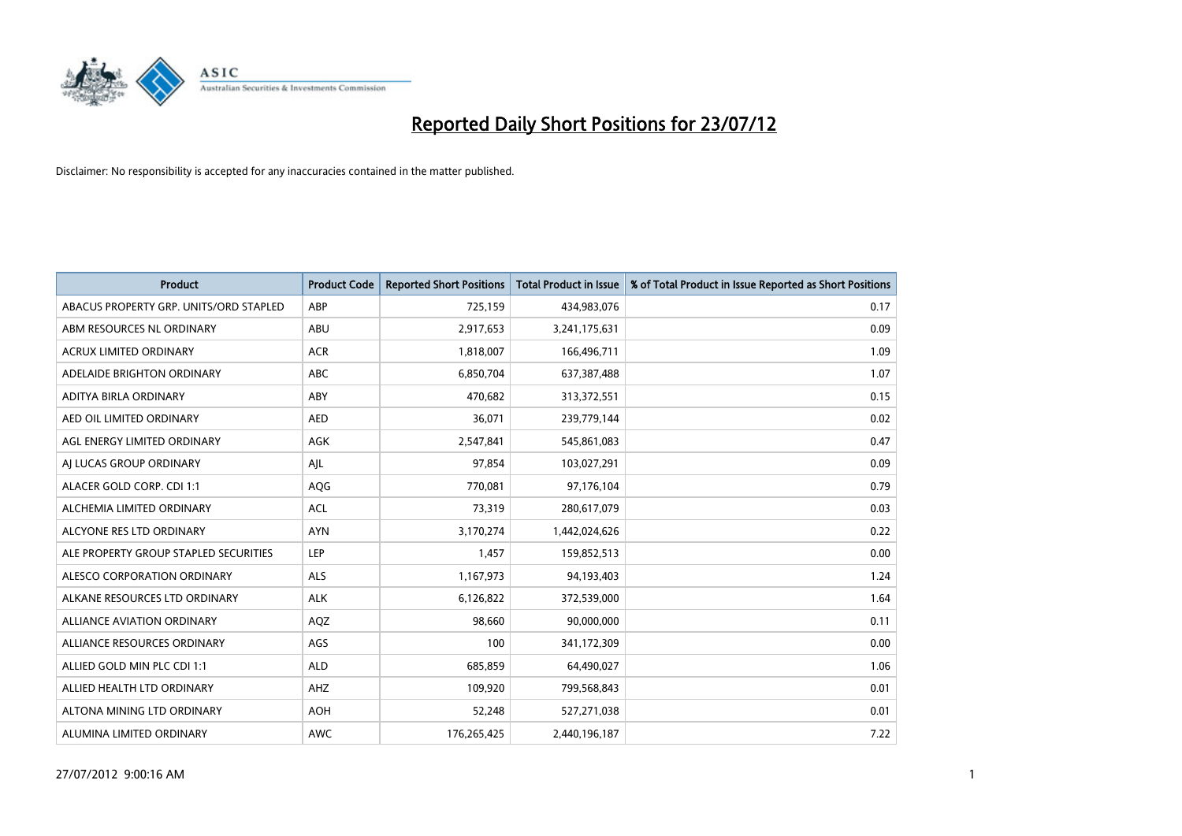

| <b>Product</b>                         | <b>Product Code</b> | <b>Reported Short Positions</b> | <b>Total Product in Issue</b> | % of Total Product in Issue Reported as Short Positions |
|----------------------------------------|---------------------|---------------------------------|-------------------------------|---------------------------------------------------------|
| ABACUS PROPERTY GRP. UNITS/ORD STAPLED | ABP                 | 725,159                         | 434,983,076                   | 0.17                                                    |
| ABM RESOURCES NL ORDINARY              | ABU                 | 2,917,653                       | 3,241,175,631                 | 0.09                                                    |
| <b>ACRUX LIMITED ORDINARY</b>          | <b>ACR</b>          | 1,818,007                       | 166,496,711                   | 1.09                                                    |
| ADELAIDE BRIGHTON ORDINARY             | <b>ABC</b>          | 6,850,704                       | 637,387,488                   | 1.07                                                    |
| ADITYA BIRLA ORDINARY                  | ABY                 | 470,682                         | 313,372,551                   | 0.15                                                    |
| AED OIL LIMITED ORDINARY               | <b>AED</b>          | 36,071                          | 239,779,144                   | 0.02                                                    |
| AGL ENERGY LIMITED ORDINARY            | <b>AGK</b>          | 2,547,841                       | 545,861,083                   | 0.47                                                    |
| AI LUCAS GROUP ORDINARY                | AJL                 | 97,854                          | 103,027,291                   | 0.09                                                    |
| ALACER GOLD CORP. CDI 1:1              | <b>AQG</b>          | 770.081                         | 97,176,104                    | 0.79                                                    |
| ALCHEMIA LIMITED ORDINARY              | <b>ACL</b>          | 73,319                          | 280,617,079                   | 0.03                                                    |
| ALCYONE RES LTD ORDINARY               | <b>AYN</b>          | 3,170,274                       | 1,442,024,626                 | 0.22                                                    |
| ALE PROPERTY GROUP STAPLED SECURITIES  | LEP                 | 1,457                           | 159,852,513                   | 0.00                                                    |
| ALESCO CORPORATION ORDINARY            | <b>ALS</b>          | 1,167,973                       | 94,193,403                    | 1.24                                                    |
| ALKANE RESOURCES LTD ORDINARY          | <b>ALK</b>          | 6,126,822                       | 372,539,000                   | 1.64                                                    |
| <b>ALLIANCE AVIATION ORDINARY</b>      | AQZ                 | 98,660                          | 90,000,000                    | 0.11                                                    |
| ALLIANCE RESOURCES ORDINARY            | AGS                 | 100                             | 341,172,309                   | 0.00                                                    |
| ALLIED GOLD MIN PLC CDI 1:1            | <b>ALD</b>          | 685,859                         | 64,490,027                    | 1.06                                                    |
| ALLIED HEALTH LTD ORDINARY             | AHZ                 | 109,920                         | 799,568,843                   | 0.01                                                    |
| ALTONA MINING LTD ORDINARY             | <b>AOH</b>          | 52,248                          | 527,271,038                   | 0.01                                                    |
| ALUMINA LIMITED ORDINARY               | <b>AWC</b>          | 176,265,425                     | 2,440,196,187                 | 7.22                                                    |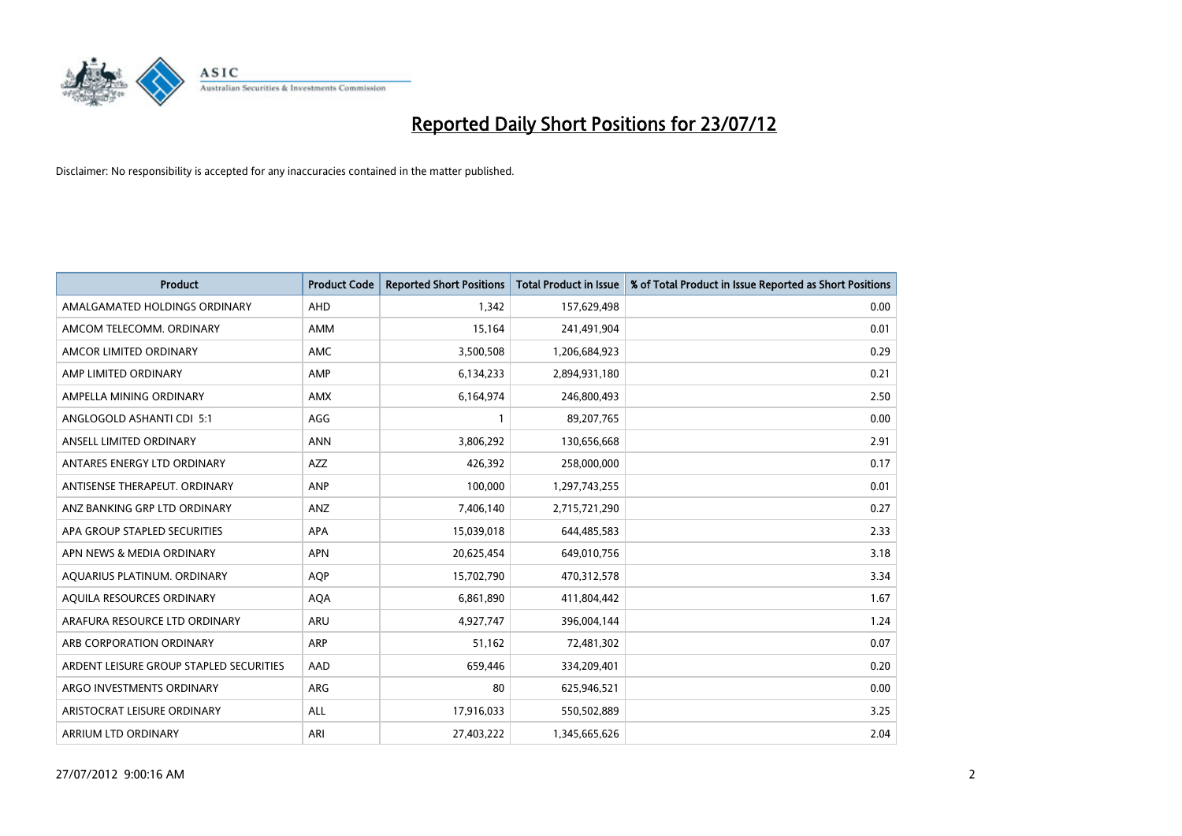

| <b>Product</b>                          | <b>Product Code</b> | <b>Reported Short Positions</b> | <b>Total Product in Issue</b> | % of Total Product in Issue Reported as Short Positions |
|-----------------------------------------|---------------------|---------------------------------|-------------------------------|---------------------------------------------------------|
| AMALGAMATED HOLDINGS ORDINARY           | <b>AHD</b>          | 1.342                           | 157,629,498                   | 0.00                                                    |
| AMCOM TELECOMM. ORDINARY                | <b>AMM</b>          | 15,164                          | 241,491,904                   | 0.01                                                    |
| AMCOR LIMITED ORDINARY                  | <b>AMC</b>          | 3,500,508                       | 1,206,684,923                 | 0.29                                                    |
| AMP LIMITED ORDINARY                    | AMP                 | 6,134,233                       | 2,894,931,180                 | 0.21                                                    |
| AMPELLA MINING ORDINARY                 | <b>AMX</b>          | 6,164,974                       | 246,800,493                   | 2.50                                                    |
| ANGLOGOLD ASHANTI CDI 5:1               | AGG                 |                                 | 89,207,765                    | 0.00                                                    |
| ANSELL LIMITED ORDINARY                 | <b>ANN</b>          | 3,806,292                       | 130,656,668                   | 2.91                                                    |
| ANTARES ENERGY LTD ORDINARY             | <b>AZZ</b>          | 426,392                         | 258,000,000                   | 0.17                                                    |
| ANTISENSE THERAPEUT, ORDINARY           | <b>ANP</b>          | 100,000                         | 1,297,743,255                 | 0.01                                                    |
| ANZ BANKING GRP LTD ORDINARY            | ANZ                 | 7,406,140                       | 2,715,721,290                 | 0.27                                                    |
| APA GROUP STAPLED SECURITIES            | <b>APA</b>          | 15,039,018                      | 644,485,583                   | 2.33                                                    |
| APN NEWS & MEDIA ORDINARY               | <b>APN</b>          | 20,625,454                      | 649,010,756                   | 3.18                                                    |
| AQUARIUS PLATINUM. ORDINARY             | <b>AOP</b>          | 15,702,790                      | 470,312,578                   | 3.34                                                    |
| AQUILA RESOURCES ORDINARY               | <b>AQA</b>          | 6,861,890                       | 411,804,442                   | 1.67                                                    |
| ARAFURA RESOURCE LTD ORDINARY           | <b>ARU</b>          | 4,927,747                       | 396,004,144                   | 1.24                                                    |
| ARB CORPORATION ORDINARY                | <b>ARP</b>          | 51,162                          | 72,481,302                    | 0.07                                                    |
| ARDENT LEISURE GROUP STAPLED SECURITIES | AAD                 | 659,446                         | 334,209,401                   | 0.20                                                    |
| ARGO INVESTMENTS ORDINARY               | <b>ARG</b>          | 80                              | 625,946,521                   | 0.00                                                    |
| ARISTOCRAT LEISURE ORDINARY             | <b>ALL</b>          | 17,916,033                      | 550,502,889                   | 3.25                                                    |
| ARRIUM LTD ORDINARY                     | ARI                 | 27,403,222                      | 1,345,665,626                 | 2.04                                                    |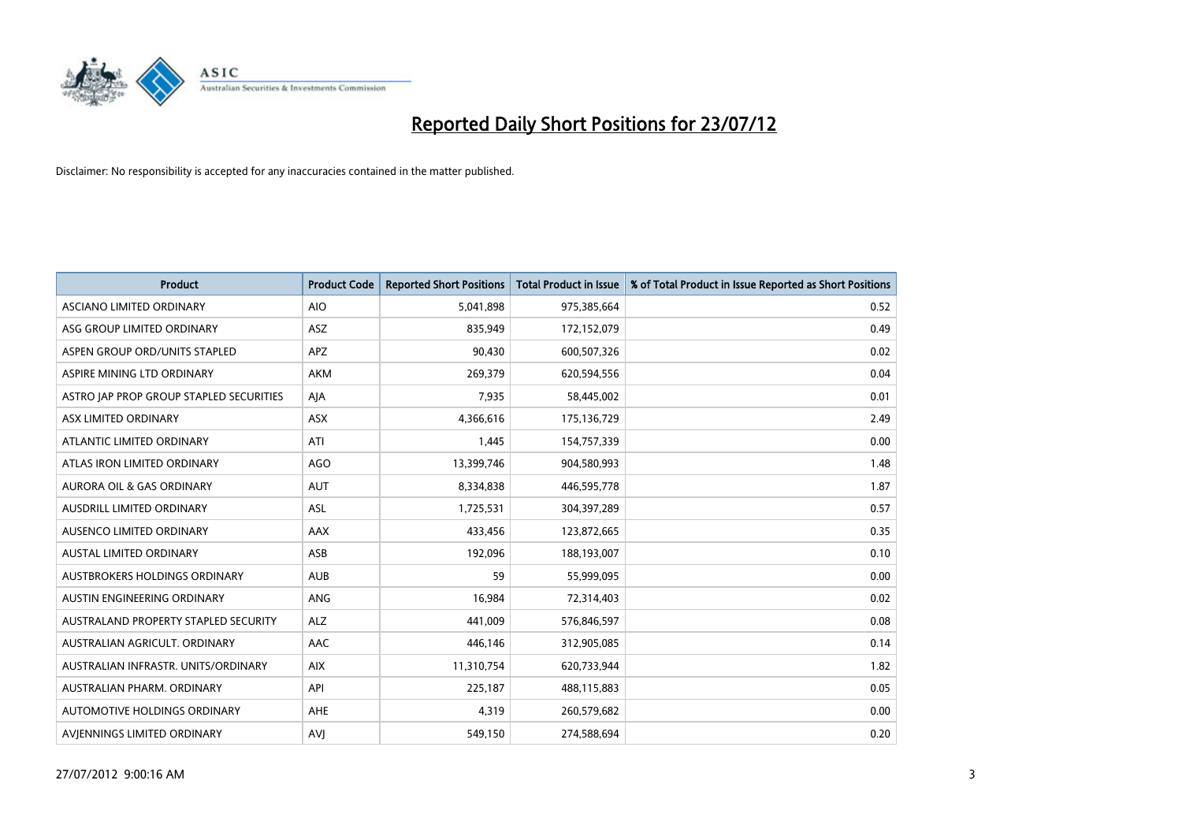

| <b>Product</b>                          | <b>Product Code</b> | <b>Reported Short Positions</b> | <b>Total Product in Issue</b> | % of Total Product in Issue Reported as Short Positions |
|-----------------------------------------|---------------------|---------------------------------|-------------------------------|---------------------------------------------------------|
| ASCIANO LIMITED ORDINARY                | <b>AIO</b>          | 5,041,898                       | 975,385,664                   | 0.52                                                    |
| ASG GROUP LIMITED ORDINARY              | <b>ASZ</b>          | 835,949                         | 172,152,079                   | 0.49                                                    |
| ASPEN GROUP ORD/UNITS STAPLED           | <b>APZ</b>          | 90,430                          | 600,507,326                   | 0.02                                                    |
| ASPIRE MINING LTD ORDINARY              | <b>AKM</b>          | 269,379                         | 620,594,556                   | 0.04                                                    |
| ASTRO JAP PROP GROUP STAPLED SECURITIES | AIA                 | 7,935                           | 58,445,002                    | 0.01                                                    |
| ASX LIMITED ORDINARY                    | <b>ASX</b>          | 4,366,616                       | 175,136,729                   | 2.49                                                    |
| ATLANTIC LIMITED ORDINARY               | ATI                 | 1,445                           | 154,757,339                   | 0.00                                                    |
| ATLAS IRON LIMITED ORDINARY             | AGO                 | 13,399,746                      | 904,580,993                   | 1.48                                                    |
| <b>AURORA OIL &amp; GAS ORDINARY</b>    | <b>AUT</b>          | 8,334,838                       | 446,595,778                   | 1.87                                                    |
| AUSDRILL LIMITED ORDINARY               | <b>ASL</b>          | 1,725,531                       | 304,397,289                   | 0.57                                                    |
| AUSENCO LIMITED ORDINARY                | AAX                 | 433,456                         | 123,872,665                   | 0.35                                                    |
| <b>AUSTAL LIMITED ORDINARY</b>          | ASB                 | 192,096                         | 188,193,007                   | 0.10                                                    |
| AUSTBROKERS HOLDINGS ORDINARY           | <b>AUB</b>          | 59                              | 55,999,095                    | 0.00                                                    |
| AUSTIN ENGINEERING ORDINARY             | ANG                 | 16,984                          | 72,314,403                    | 0.02                                                    |
| AUSTRALAND PROPERTY STAPLED SECURITY    | <b>ALZ</b>          | 441,009                         | 576,846,597                   | 0.08                                                    |
| AUSTRALIAN AGRICULT. ORDINARY           | AAC                 | 446,146                         | 312,905,085                   | 0.14                                                    |
| AUSTRALIAN INFRASTR. UNITS/ORDINARY     | <b>AIX</b>          | 11,310,754                      | 620,733,944                   | 1.82                                                    |
| AUSTRALIAN PHARM. ORDINARY              | API                 | 225,187                         | 488,115,883                   | 0.05                                                    |
| AUTOMOTIVE HOLDINGS ORDINARY            | <b>AHE</b>          | 4,319                           | 260,579,682                   | 0.00                                                    |
| AVIENNINGS LIMITED ORDINARY             | AVI                 | 549,150                         | 274,588,694                   | 0.20                                                    |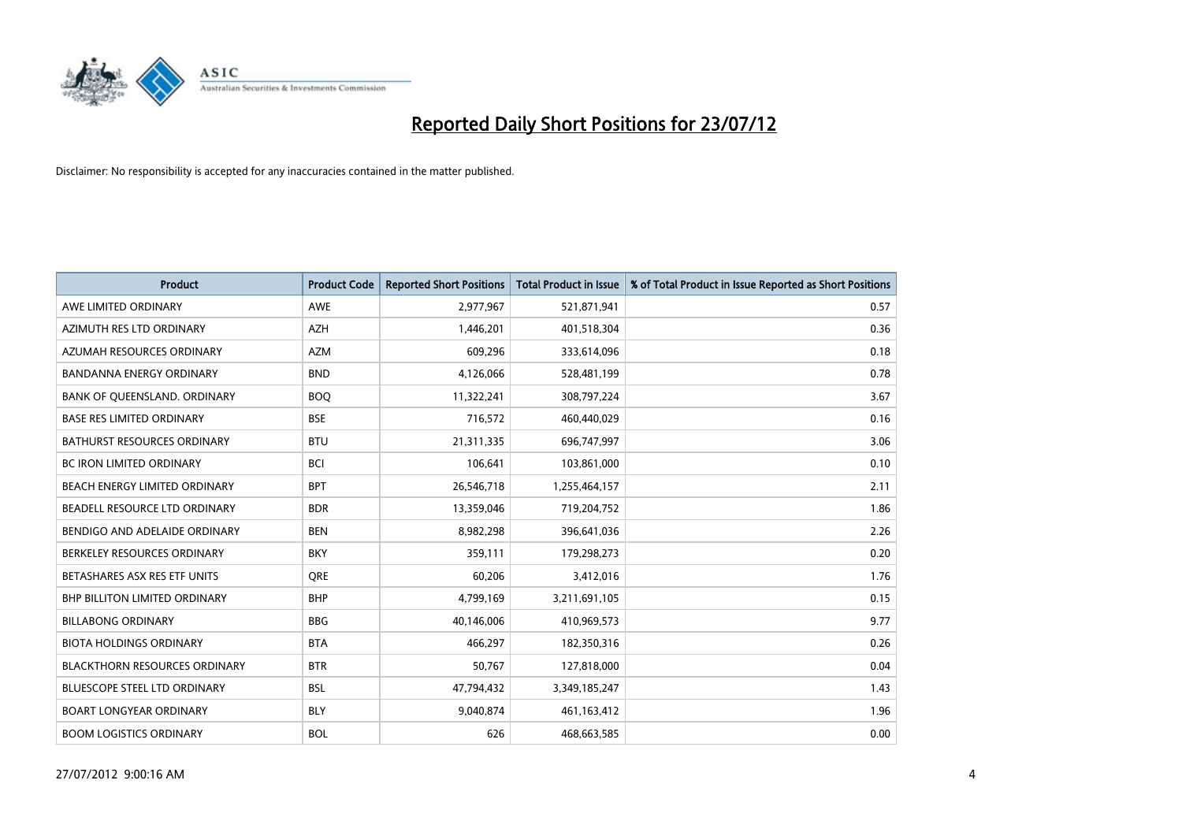

| <b>Product</b>                       | <b>Product Code</b> | <b>Reported Short Positions</b> | <b>Total Product in Issue</b> | % of Total Product in Issue Reported as Short Positions |
|--------------------------------------|---------------------|---------------------------------|-------------------------------|---------------------------------------------------------|
| AWE LIMITED ORDINARY                 | AWE                 | 2,977,967                       | 521,871,941                   | 0.57                                                    |
| AZIMUTH RES LTD ORDINARY             | <b>AZH</b>          | 1,446,201                       | 401,518,304                   | 0.36                                                    |
| <b>AZUMAH RESOURCES ORDINARY</b>     | <b>AZM</b>          | 609,296                         | 333,614,096                   | 0.18                                                    |
| <b>BANDANNA ENERGY ORDINARY</b>      | <b>BND</b>          | 4,126,066                       | 528,481,199                   | 0.78                                                    |
| BANK OF QUEENSLAND. ORDINARY         | <b>BOO</b>          | 11,322,241                      | 308,797,224                   | 3.67                                                    |
| <b>BASE RES LIMITED ORDINARY</b>     | <b>BSE</b>          | 716,572                         | 460,440,029                   | 0.16                                                    |
| <b>BATHURST RESOURCES ORDINARY</b>   | <b>BTU</b>          | 21,311,335                      | 696,747,997                   | 3.06                                                    |
| BC IRON LIMITED ORDINARY             | <b>BCI</b>          | 106,641                         | 103,861,000                   | 0.10                                                    |
| BEACH ENERGY LIMITED ORDINARY        | <b>BPT</b>          | 26,546,718                      | 1,255,464,157                 | 2.11                                                    |
| BEADELL RESOURCE LTD ORDINARY        | <b>BDR</b>          | 13,359,046                      | 719,204,752                   | 1.86                                                    |
| BENDIGO AND ADELAIDE ORDINARY        | <b>BEN</b>          | 8,982,298                       | 396,641,036                   | 2.26                                                    |
| BERKELEY RESOURCES ORDINARY          | <b>BKY</b>          | 359,111                         | 179,298,273                   | 0.20                                                    |
| BETASHARES ASX RES ETF UNITS         | <b>ORE</b>          | 60,206                          | 3,412,016                     | 1.76                                                    |
| BHP BILLITON LIMITED ORDINARY        | <b>BHP</b>          | 4,799,169                       | 3,211,691,105                 | 0.15                                                    |
| <b>BILLABONG ORDINARY</b>            | <b>BBG</b>          | 40,146,006                      | 410,969,573                   | 9.77                                                    |
| <b>BIOTA HOLDINGS ORDINARY</b>       | <b>BTA</b>          | 466,297                         | 182,350,316                   | 0.26                                                    |
| <b>BLACKTHORN RESOURCES ORDINARY</b> | <b>BTR</b>          | 50,767                          | 127,818,000                   | 0.04                                                    |
| BLUESCOPE STEEL LTD ORDINARY         | <b>BSL</b>          | 47,794,432                      | 3,349,185,247                 | 1.43                                                    |
| <b>BOART LONGYEAR ORDINARY</b>       | <b>BLY</b>          | 9,040,874                       | 461,163,412                   | 1.96                                                    |
| <b>BOOM LOGISTICS ORDINARY</b>       | <b>BOL</b>          | 626                             | 468,663,585                   | 0.00                                                    |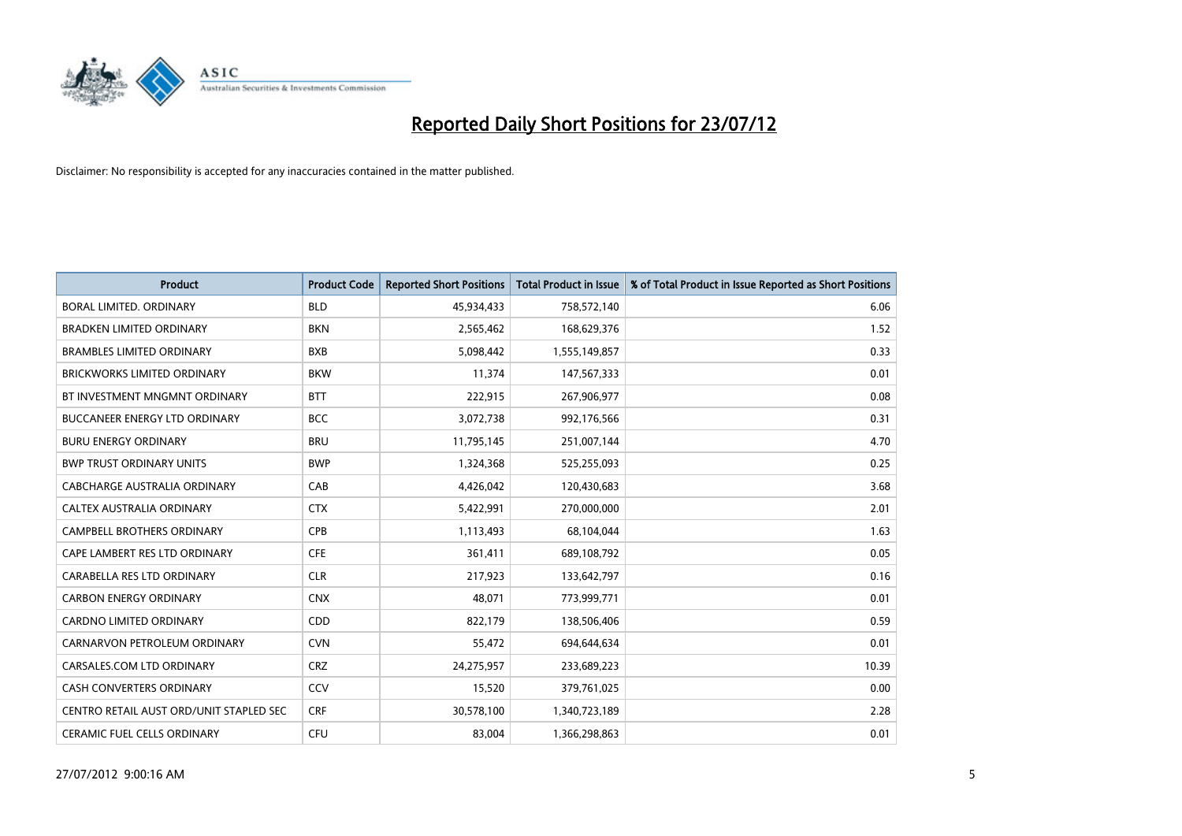

| <b>Product</b>                          | <b>Product Code</b> | <b>Reported Short Positions</b> | <b>Total Product in Issue</b> | % of Total Product in Issue Reported as Short Positions |
|-----------------------------------------|---------------------|---------------------------------|-------------------------------|---------------------------------------------------------|
| <b>BORAL LIMITED, ORDINARY</b>          | <b>BLD</b>          | 45,934,433                      | 758,572,140                   | 6.06                                                    |
| <b>BRADKEN LIMITED ORDINARY</b>         | <b>BKN</b>          | 2,565,462                       | 168,629,376                   | 1.52                                                    |
| <b>BRAMBLES LIMITED ORDINARY</b>        | <b>BXB</b>          | 5,098,442                       | 1,555,149,857                 | 0.33                                                    |
| BRICKWORKS LIMITED ORDINARY             | <b>BKW</b>          | 11,374                          | 147,567,333                   | 0.01                                                    |
| BT INVESTMENT MNGMNT ORDINARY           | <b>BTT</b>          | 222,915                         | 267,906,977                   | 0.08                                                    |
| <b>BUCCANEER ENERGY LTD ORDINARY</b>    | <b>BCC</b>          | 3,072,738                       | 992,176,566                   | 0.31                                                    |
| <b>BURU ENERGY ORDINARY</b>             | <b>BRU</b>          | 11,795,145                      | 251,007,144                   | 4.70                                                    |
| <b>BWP TRUST ORDINARY UNITS</b>         | <b>BWP</b>          | 1,324,368                       | 525,255,093                   | 0.25                                                    |
| CABCHARGE AUSTRALIA ORDINARY            | CAB                 | 4,426,042                       | 120,430,683                   | 3.68                                                    |
| CALTEX AUSTRALIA ORDINARY               | <b>CTX</b>          | 5,422,991                       | 270,000,000                   | 2.01                                                    |
| CAMPBELL BROTHERS ORDINARY              | <b>CPB</b>          | 1,113,493                       | 68,104,044                    | 1.63                                                    |
| CAPE LAMBERT RES LTD ORDINARY           | <b>CFE</b>          | 361,411                         | 689,108,792                   | 0.05                                                    |
| CARABELLA RES LTD ORDINARY              | <b>CLR</b>          | 217,923                         | 133,642,797                   | 0.16                                                    |
| <b>CARBON ENERGY ORDINARY</b>           | <b>CNX</b>          | 48,071                          | 773,999,771                   | 0.01                                                    |
| <b>CARDNO LIMITED ORDINARY</b>          | <b>CDD</b>          | 822,179                         | 138,506,406                   | 0.59                                                    |
| CARNARVON PETROLEUM ORDINARY            | <b>CVN</b>          | 55,472                          | 694,644,634                   | 0.01                                                    |
| CARSALES.COM LTD ORDINARY               | <b>CRZ</b>          | 24,275,957                      | 233,689,223                   | 10.39                                                   |
| CASH CONVERTERS ORDINARY                | CCV                 | 15,520                          | 379,761,025                   | 0.00                                                    |
| CENTRO RETAIL AUST ORD/UNIT STAPLED SEC | <b>CRF</b>          | 30,578,100                      | 1,340,723,189                 | 2.28                                                    |
| CERAMIC FUEL CELLS ORDINARY             | CFU                 | 83,004                          | 1,366,298,863                 | 0.01                                                    |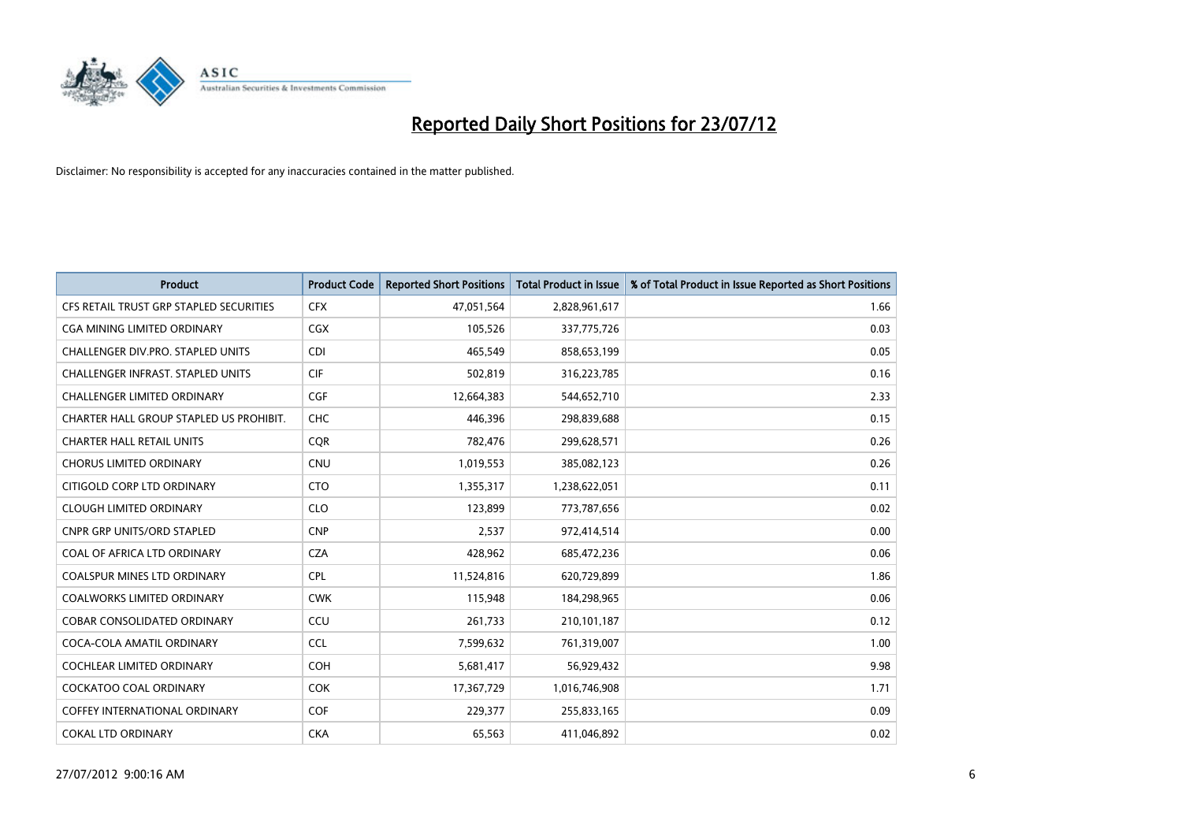

| <b>Product</b>                          | <b>Product Code</b> | <b>Reported Short Positions</b> | <b>Total Product in Issue</b> | % of Total Product in Issue Reported as Short Positions |
|-----------------------------------------|---------------------|---------------------------------|-------------------------------|---------------------------------------------------------|
| CFS RETAIL TRUST GRP STAPLED SECURITIES | <b>CFX</b>          | 47,051,564                      | 2,828,961,617                 | 1.66                                                    |
| CGA MINING LIMITED ORDINARY             | <b>CGX</b>          | 105,526                         | 337,775,726                   | 0.03                                                    |
| CHALLENGER DIV.PRO. STAPLED UNITS       | <b>CDI</b>          | 465,549                         | 858,653,199                   | 0.05                                                    |
| CHALLENGER INFRAST. STAPLED UNITS       | <b>CIF</b>          | 502,819                         | 316,223,785                   | 0.16                                                    |
| <b>CHALLENGER LIMITED ORDINARY</b>      | <b>CGF</b>          | 12,664,383                      | 544,652,710                   | 2.33                                                    |
| CHARTER HALL GROUP STAPLED US PROHIBIT. | <b>CHC</b>          | 446,396                         | 298,839,688                   | 0.15                                                    |
| <b>CHARTER HALL RETAIL UNITS</b>        | <b>COR</b>          | 782.476                         | 299,628,571                   | 0.26                                                    |
| <b>CHORUS LIMITED ORDINARY</b>          | <b>CNU</b>          | 1,019,553                       | 385,082,123                   | 0.26                                                    |
| CITIGOLD CORP LTD ORDINARY              | <b>CTO</b>          | 1,355,317                       | 1,238,622,051                 | 0.11                                                    |
| <b>CLOUGH LIMITED ORDINARY</b>          | <b>CLO</b>          | 123,899                         | 773,787,656                   | 0.02                                                    |
| <b>CNPR GRP UNITS/ORD STAPLED</b>       | <b>CNP</b>          | 2,537                           | 972,414,514                   | 0.00                                                    |
| COAL OF AFRICA LTD ORDINARY             | <b>CZA</b>          | 428,962                         | 685,472,236                   | 0.06                                                    |
| COALSPUR MINES LTD ORDINARY             | CPL                 | 11,524,816                      | 620,729,899                   | 1.86                                                    |
| <b>COALWORKS LIMITED ORDINARY</b>       | <b>CWK</b>          | 115,948                         | 184,298,965                   | 0.06                                                    |
| <b>COBAR CONSOLIDATED ORDINARY</b>      | CCU                 | 261,733                         | 210,101,187                   | 0.12                                                    |
| COCA-COLA AMATIL ORDINARY               | <b>CCL</b>          | 7,599,632                       | 761,319,007                   | 1.00                                                    |
| <b>COCHLEAR LIMITED ORDINARY</b>        | <b>COH</b>          | 5,681,417                       | 56,929,432                    | 9.98                                                    |
| <b>COCKATOO COAL ORDINARY</b>           | <b>COK</b>          | 17,367,729                      | 1,016,746,908                 | 1.71                                                    |
| <b>COFFEY INTERNATIONAL ORDINARY</b>    | <b>COF</b>          | 229,377                         | 255,833,165                   | 0.09                                                    |
| <b>COKAL LTD ORDINARY</b>               | <b>CKA</b>          | 65,563                          | 411,046,892                   | 0.02                                                    |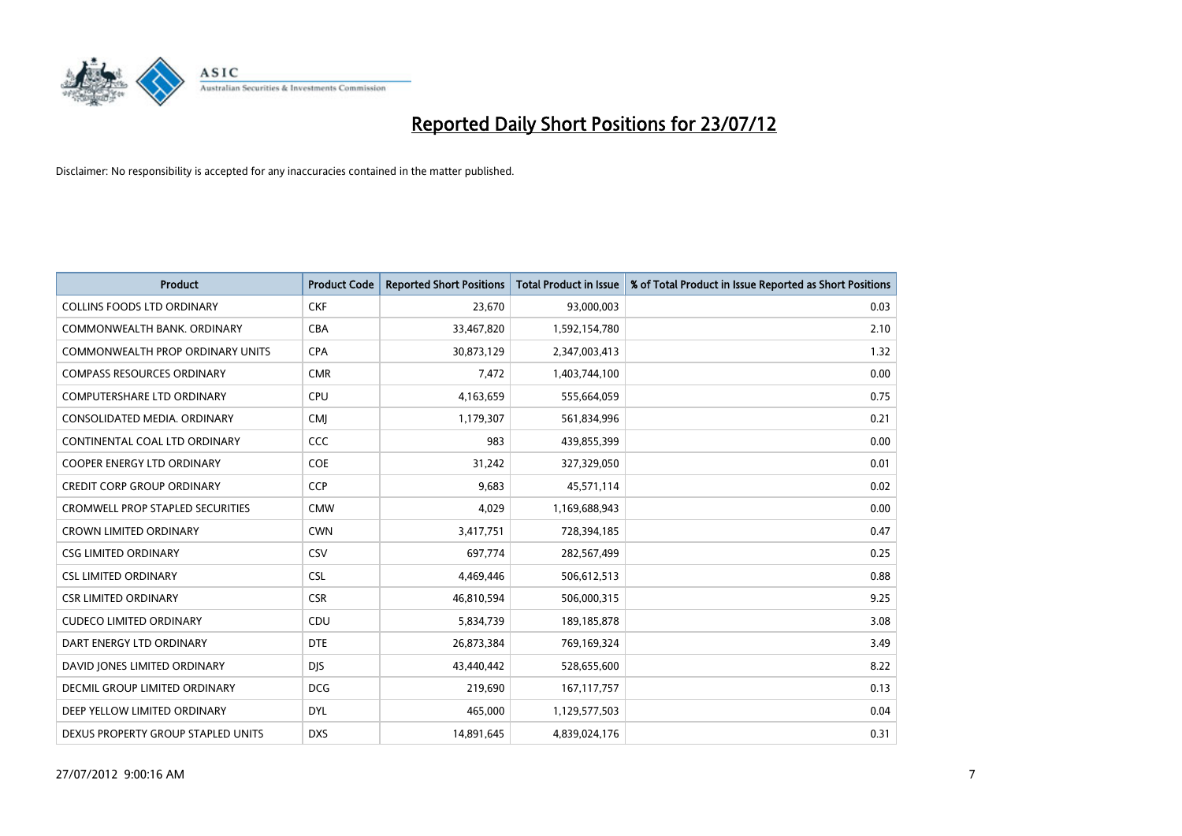

| <b>Product</b>                          | <b>Product Code</b> | <b>Reported Short Positions</b> | <b>Total Product in Issue</b> | % of Total Product in Issue Reported as Short Positions |
|-----------------------------------------|---------------------|---------------------------------|-------------------------------|---------------------------------------------------------|
| <b>COLLINS FOODS LTD ORDINARY</b>       | <b>CKF</b>          | 23,670                          | 93,000,003                    | 0.03                                                    |
| COMMONWEALTH BANK, ORDINARY             | <b>CBA</b>          | 33,467,820                      | 1,592,154,780                 | 2.10                                                    |
| COMMONWEALTH PROP ORDINARY UNITS        | <b>CPA</b>          | 30,873,129                      | 2,347,003,413                 | 1.32                                                    |
| <b>COMPASS RESOURCES ORDINARY</b>       | <b>CMR</b>          | 7,472                           | 1,403,744,100                 | 0.00                                                    |
| <b>COMPUTERSHARE LTD ORDINARY</b>       | CPU                 | 4,163,659                       | 555,664,059                   | 0.75                                                    |
| CONSOLIDATED MEDIA, ORDINARY            | <b>CMJ</b>          | 1,179,307                       | 561,834,996                   | 0.21                                                    |
| CONTINENTAL COAL LTD ORDINARY           | CCC                 | 983                             | 439,855,399                   | 0.00                                                    |
| <b>COOPER ENERGY LTD ORDINARY</b>       | <b>COE</b>          | 31,242                          | 327,329,050                   | 0.01                                                    |
| <b>CREDIT CORP GROUP ORDINARY</b>       | <b>CCP</b>          | 9,683                           | 45,571,114                    | 0.02                                                    |
| <b>CROMWELL PROP STAPLED SECURITIES</b> | <b>CMW</b>          | 4,029                           | 1,169,688,943                 | 0.00                                                    |
| <b>CROWN LIMITED ORDINARY</b>           | <b>CWN</b>          | 3,417,751                       | 728,394,185                   | 0.47                                                    |
| <b>CSG LIMITED ORDINARY</b>             | CSV                 | 697,774                         | 282,567,499                   | 0.25                                                    |
| <b>CSL LIMITED ORDINARY</b>             | <b>CSL</b>          | 4,469,446                       | 506,612,513                   | 0.88                                                    |
| <b>CSR LIMITED ORDINARY</b>             | <b>CSR</b>          | 46,810,594                      | 506,000,315                   | 9.25                                                    |
| <b>CUDECO LIMITED ORDINARY</b>          | CDU                 | 5,834,739                       | 189, 185, 878                 | 3.08                                                    |
| DART ENERGY LTD ORDINARY                | <b>DTE</b>          | 26,873,384                      | 769,169,324                   | 3.49                                                    |
| DAVID JONES LIMITED ORDINARY            | <b>DJS</b>          | 43,440,442                      | 528,655,600                   | 8.22                                                    |
| <b>DECMIL GROUP LIMITED ORDINARY</b>    | <b>DCG</b>          | 219,690                         | 167, 117, 757                 | 0.13                                                    |
| DEEP YELLOW LIMITED ORDINARY            | <b>DYL</b>          | 465,000                         | 1,129,577,503                 | 0.04                                                    |
| DEXUS PROPERTY GROUP STAPLED UNITS      | <b>DXS</b>          | 14,891,645                      | 4,839,024,176                 | 0.31                                                    |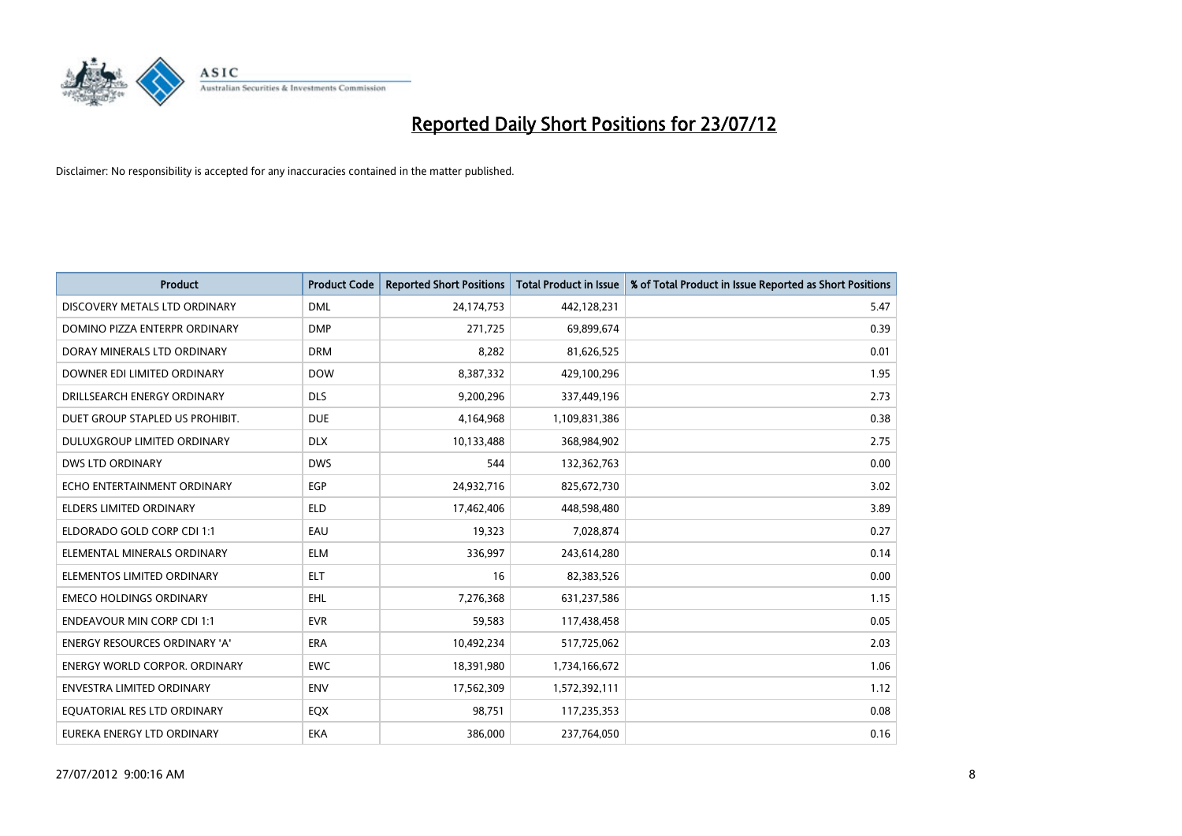

| <b>Product</b>                       | <b>Product Code</b> | <b>Reported Short Positions</b> | <b>Total Product in Issue</b> | % of Total Product in Issue Reported as Short Positions |
|--------------------------------------|---------------------|---------------------------------|-------------------------------|---------------------------------------------------------|
| DISCOVERY METALS LTD ORDINARY        | <b>DML</b>          | 24,174,753                      | 442,128,231                   | 5.47                                                    |
| DOMINO PIZZA ENTERPR ORDINARY        | <b>DMP</b>          | 271,725                         | 69,899,674                    | 0.39                                                    |
| DORAY MINERALS LTD ORDINARY          | <b>DRM</b>          | 8,282                           | 81,626,525                    | 0.01                                                    |
| DOWNER EDI LIMITED ORDINARY          | <b>DOW</b>          | 8,387,332                       | 429,100,296                   | 1.95                                                    |
| DRILLSEARCH ENERGY ORDINARY          | <b>DLS</b>          | 9,200,296                       | 337,449,196                   | 2.73                                                    |
| DUET GROUP STAPLED US PROHIBIT.      | <b>DUE</b>          | 4,164,968                       | 1,109,831,386                 | 0.38                                                    |
| DULUXGROUP LIMITED ORDINARY          | <b>DLX</b>          | 10,133,488                      | 368,984,902                   | 2.75                                                    |
| <b>DWS LTD ORDINARY</b>              | <b>DWS</b>          | 544                             | 132,362,763                   | 0.00                                                    |
| ECHO ENTERTAINMENT ORDINARY          | <b>EGP</b>          | 24,932,716                      | 825,672,730                   | 3.02                                                    |
| <b>ELDERS LIMITED ORDINARY</b>       | <b>ELD</b>          | 17,462,406                      | 448,598,480                   | 3.89                                                    |
| ELDORADO GOLD CORP CDI 1:1           | EAU                 | 19,323                          | 7,028,874                     | 0.27                                                    |
| ELEMENTAL MINERALS ORDINARY          | <b>ELM</b>          | 336,997                         | 243,614,280                   | 0.14                                                    |
| ELEMENTOS LIMITED ORDINARY           | <b>ELT</b>          | 16                              | 82,383,526                    | 0.00                                                    |
| <b>EMECO HOLDINGS ORDINARY</b>       | <b>EHL</b>          | 7,276,368                       | 631,237,586                   | 1.15                                                    |
| <b>ENDEAVOUR MIN CORP CDI 1:1</b>    | <b>EVR</b>          | 59,583                          | 117,438,458                   | 0.05                                                    |
| ENERGY RESOURCES ORDINARY 'A'        | ERA                 | 10,492,234                      | 517,725,062                   | 2.03                                                    |
| <b>ENERGY WORLD CORPOR, ORDINARY</b> | <b>EWC</b>          | 18,391,980                      | 1,734,166,672                 | 1.06                                                    |
| <b>ENVESTRA LIMITED ORDINARY</b>     | <b>ENV</b>          | 17,562,309                      | 1,572,392,111                 | 1.12                                                    |
| EOUATORIAL RES LTD ORDINARY          | EQX                 | 98,751                          | 117,235,353                   | 0.08                                                    |
| EUREKA ENERGY LTD ORDINARY           | <b>EKA</b>          | 386.000                         | 237,764,050                   | 0.16                                                    |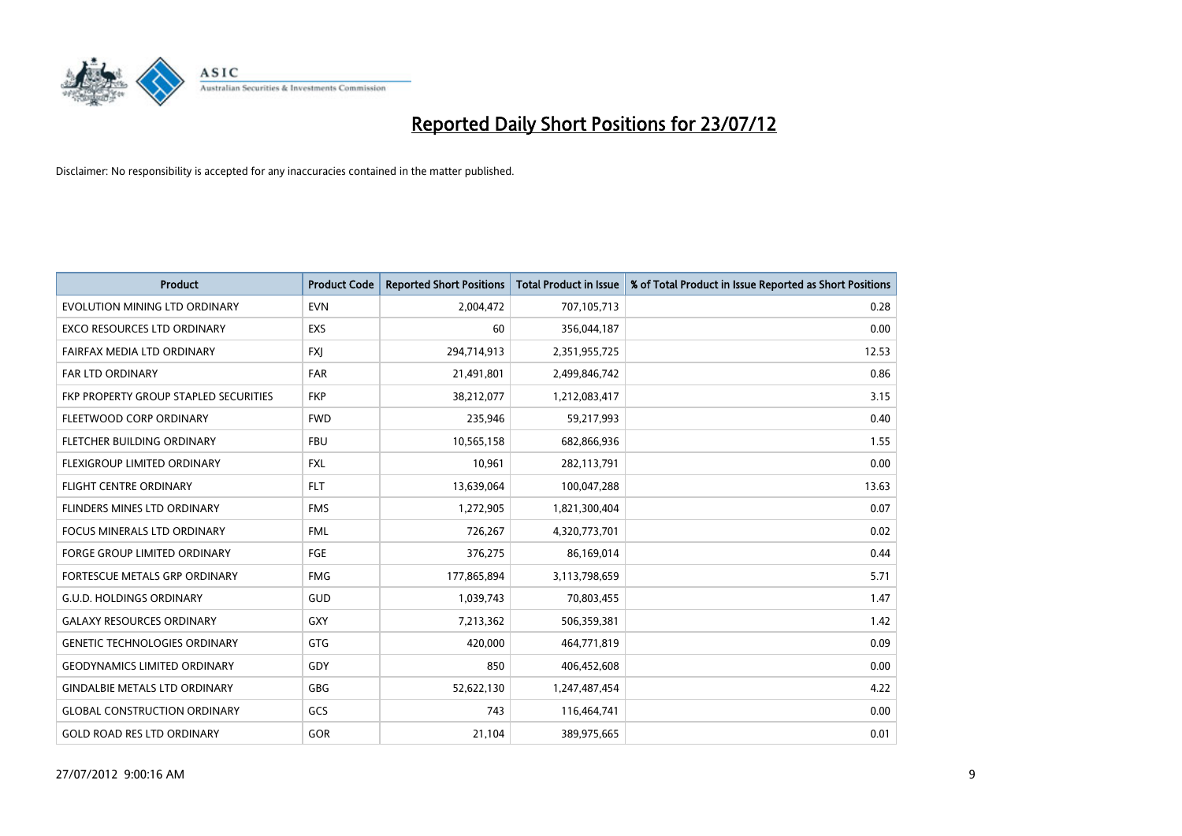

| <b>Product</b>                        | <b>Product Code</b> | <b>Reported Short Positions</b> | <b>Total Product in Issue</b> | % of Total Product in Issue Reported as Short Positions |
|---------------------------------------|---------------------|---------------------------------|-------------------------------|---------------------------------------------------------|
| EVOLUTION MINING LTD ORDINARY         | <b>EVN</b>          | 2,004,472                       | 707,105,713                   | 0.28                                                    |
| EXCO RESOURCES LTD ORDINARY           | <b>EXS</b>          | 60                              | 356,044,187                   | 0.00                                                    |
| FAIRFAX MEDIA LTD ORDINARY            | <b>FXI</b>          | 294,714,913                     | 2,351,955,725                 | 12.53                                                   |
| <b>FAR LTD ORDINARY</b>               | <b>FAR</b>          | 21,491,801                      | 2,499,846,742                 | 0.86                                                    |
| FKP PROPERTY GROUP STAPLED SECURITIES | <b>FKP</b>          | 38,212,077                      | 1,212,083,417                 | 3.15                                                    |
| FLEETWOOD CORP ORDINARY               | <b>FWD</b>          | 235,946                         | 59,217,993                    | 0.40                                                    |
| <b>FLETCHER BUILDING ORDINARY</b>     | <b>FBU</b>          | 10,565,158                      | 682,866,936                   | 1.55                                                    |
| FLEXIGROUP LIMITED ORDINARY           | <b>FXL</b>          | 10,961                          | 282,113,791                   | 0.00                                                    |
| <b>FLIGHT CENTRE ORDINARY</b>         | <b>FLT</b>          | 13,639,064                      | 100,047,288                   | 13.63                                                   |
| FLINDERS MINES LTD ORDINARY           | <b>FMS</b>          | 1,272,905                       | 1,821,300,404                 | 0.07                                                    |
| FOCUS MINERALS LTD ORDINARY           | <b>FML</b>          | 726,267                         | 4,320,773,701                 | 0.02                                                    |
| <b>FORGE GROUP LIMITED ORDINARY</b>   | FGE                 | 376,275                         | 86,169,014                    | 0.44                                                    |
| FORTESCUE METALS GRP ORDINARY         | <b>FMG</b>          | 177,865,894                     | 3,113,798,659                 | 5.71                                                    |
| <b>G.U.D. HOLDINGS ORDINARY</b>       | GUD                 | 1,039,743                       | 70,803,455                    | 1.47                                                    |
| <b>GALAXY RESOURCES ORDINARY</b>      | <b>GXY</b>          | 7,213,362                       | 506,359,381                   | 1.42                                                    |
| <b>GENETIC TECHNOLOGIES ORDINARY</b>  | <b>GTG</b>          | 420,000                         | 464,771,819                   | 0.09                                                    |
| <b>GEODYNAMICS LIMITED ORDINARY</b>   | GDY                 | 850                             | 406,452,608                   | 0.00                                                    |
| <b>GINDALBIE METALS LTD ORDINARY</b>  | <b>GBG</b>          | 52,622,130                      | 1,247,487,454                 | 4.22                                                    |
| <b>GLOBAL CONSTRUCTION ORDINARY</b>   | GCS                 | 743                             | 116,464,741                   | 0.00                                                    |
| <b>GOLD ROAD RES LTD ORDINARY</b>     | <b>GOR</b>          | 21,104                          | 389,975,665                   | 0.01                                                    |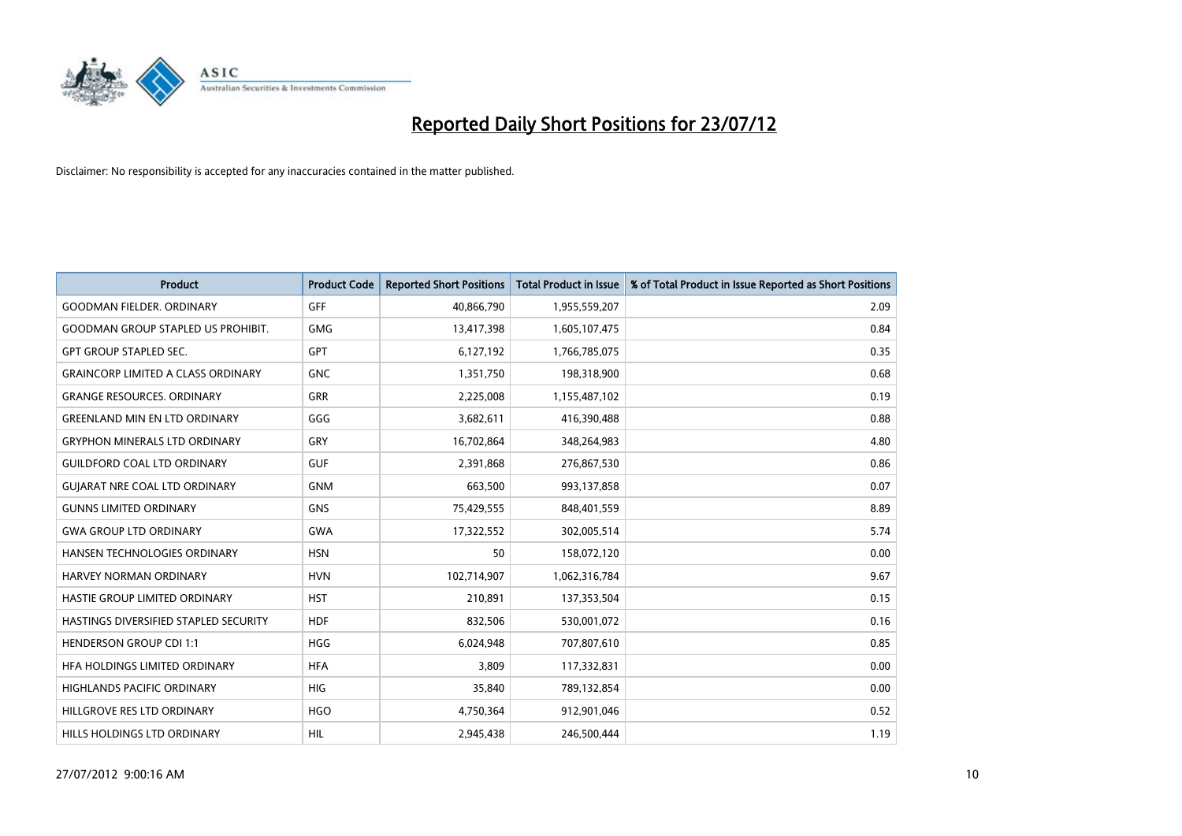

| <b>Product</b>                            | <b>Product Code</b> | <b>Reported Short Positions</b> | <b>Total Product in Issue</b> | % of Total Product in Issue Reported as Short Positions |
|-------------------------------------------|---------------------|---------------------------------|-------------------------------|---------------------------------------------------------|
| <b>GOODMAN FIELDER, ORDINARY</b>          | <b>GFF</b>          | 40,866,790                      | 1,955,559,207                 | 2.09                                                    |
| <b>GOODMAN GROUP STAPLED US PROHIBIT.</b> | <b>GMG</b>          | 13,417,398                      | 1,605,107,475                 | 0.84                                                    |
| <b>GPT GROUP STAPLED SEC.</b>             | <b>GPT</b>          | 6,127,192                       | 1,766,785,075                 | 0.35                                                    |
| <b>GRAINCORP LIMITED A CLASS ORDINARY</b> | <b>GNC</b>          | 1,351,750                       | 198,318,900                   | 0.68                                                    |
| <b>GRANGE RESOURCES, ORDINARY</b>         | <b>GRR</b>          | 2,225,008                       | 1,155,487,102                 | 0.19                                                    |
| <b>GREENLAND MIN EN LTD ORDINARY</b>      | GGG                 | 3,682,611                       | 416,390,488                   | 0.88                                                    |
| <b>GRYPHON MINERALS LTD ORDINARY</b>      | GRY                 | 16,702,864                      | 348,264,983                   | 4.80                                                    |
| <b>GUILDFORD COAL LTD ORDINARY</b>        | <b>GUF</b>          | 2,391,868                       | 276,867,530                   | 0.86                                                    |
| <b>GUIARAT NRE COAL LTD ORDINARY</b>      | <b>GNM</b>          | 663,500                         | 993,137,858                   | 0.07                                                    |
| <b>GUNNS LIMITED ORDINARY</b>             | <b>GNS</b>          | 75,429,555                      | 848,401,559                   | 8.89                                                    |
| <b>GWA GROUP LTD ORDINARY</b>             | <b>GWA</b>          | 17,322,552                      | 302,005,514                   | 5.74                                                    |
| <b>HANSEN TECHNOLOGIES ORDINARY</b>       | <b>HSN</b>          | 50                              | 158,072,120                   | 0.00                                                    |
| HARVEY NORMAN ORDINARY                    | <b>HVN</b>          | 102,714,907                     | 1,062,316,784                 | 9.67                                                    |
| HASTIE GROUP LIMITED ORDINARY             | <b>HST</b>          | 210.891                         | 137,353,504                   | 0.15                                                    |
| HASTINGS DIVERSIFIED STAPLED SECURITY     | <b>HDF</b>          | 832,506                         | 530,001,072                   | 0.16                                                    |
| <b>HENDERSON GROUP CDI 1:1</b>            | <b>HGG</b>          | 6,024,948                       | 707,807,610                   | 0.85                                                    |
| HFA HOLDINGS LIMITED ORDINARY             | <b>HFA</b>          | 3,809                           | 117,332,831                   | 0.00                                                    |
| HIGHLANDS PACIFIC ORDINARY                | <b>HIG</b>          | 35,840                          | 789,132,854                   | 0.00                                                    |
| HILLGROVE RES LTD ORDINARY                | <b>HGO</b>          | 4,750,364                       | 912,901,046                   | 0.52                                                    |
| <b>HILLS HOLDINGS LTD ORDINARY</b>        | <b>HIL</b>          | 2.945.438                       | 246,500,444                   | 1.19                                                    |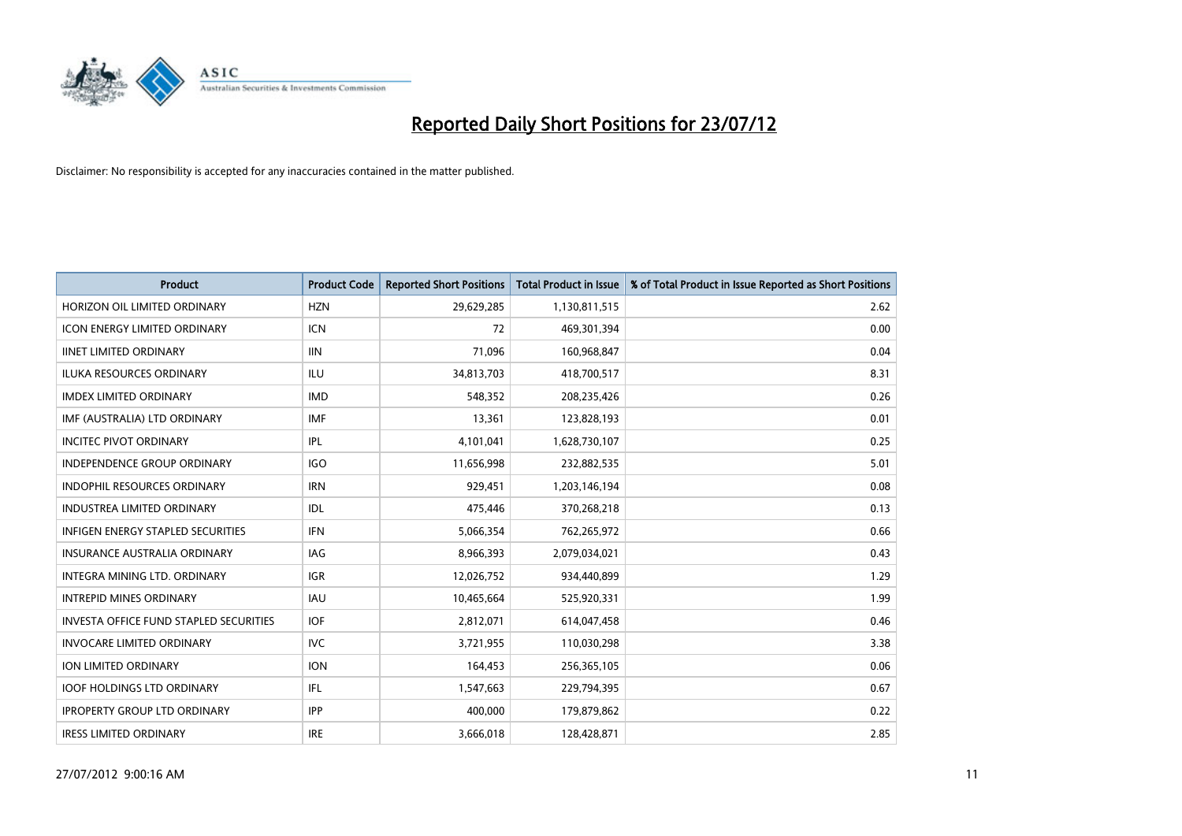

| <b>Product</b>                                | <b>Product Code</b> | <b>Reported Short Positions</b> | <b>Total Product in Issue</b> | % of Total Product in Issue Reported as Short Positions |
|-----------------------------------------------|---------------------|---------------------------------|-------------------------------|---------------------------------------------------------|
| HORIZON OIL LIMITED ORDINARY                  | <b>HZN</b>          | 29,629,285                      | 1,130,811,515                 | 2.62                                                    |
| ICON ENERGY LIMITED ORDINARY                  | <b>ICN</b>          | 72                              | 469,301,394                   | 0.00                                                    |
| <b>IINET LIMITED ORDINARY</b>                 | <b>IIN</b>          | 71,096                          | 160,968,847                   | 0.04                                                    |
| ILUKA RESOURCES ORDINARY                      | ILU                 | 34,813,703                      | 418,700,517                   | 8.31                                                    |
| <b>IMDEX LIMITED ORDINARY</b>                 | <b>IMD</b>          | 548,352                         | 208,235,426                   | 0.26                                                    |
| IMF (AUSTRALIA) LTD ORDINARY                  | <b>IMF</b>          | 13,361                          | 123,828,193                   | 0.01                                                    |
| <b>INCITEC PIVOT ORDINARY</b>                 | IPL                 | 4,101,041                       | 1,628,730,107                 | 0.25                                                    |
| <b>INDEPENDENCE GROUP ORDINARY</b>            | IGO                 | 11,656,998                      | 232,882,535                   | 5.01                                                    |
| INDOPHIL RESOURCES ORDINARY                   | <b>IRN</b>          | 929,451                         | 1,203,146,194                 | 0.08                                                    |
| <b>INDUSTREA LIMITED ORDINARY</b>             | IDL                 | 475,446                         | 370,268,218                   | 0.13                                                    |
| INFIGEN ENERGY STAPLED SECURITIES             | <b>IFN</b>          | 5,066,354                       | 762,265,972                   | 0.66                                                    |
| <b>INSURANCE AUSTRALIA ORDINARY</b>           | IAG                 | 8,966,393                       | 2,079,034,021                 | 0.43                                                    |
| <b>INTEGRA MINING LTD, ORDINARY</b>           | <b>IGR</b>          | 12,026,752                      | 934,440,899                   | 1.29                                                    |
| <b>INTREPID MINES ORDINARY</b>                | <b>IAU</b>          | 10,465,664                      | 525,920,331                   | 1.99                                                    |
| <b>INVESTA OFFICE FUND STAPLED SECURITIES</b> | <b>IOF</b>          | 2,812,071                       | 614,047,458                   | 0.46                                                    |
| <b>INVOCARE LIMITED ORDINARY</b>              | <b>IVC</b>          | 3,721,955                       | 110,030,298                   | 3.38                                                    |
| ION LIMITED ORDINARY                          | <b>ION</b>          | 164,453                         | 256,365,105                   | 0.06                                                    |
| <b>IOOF HOLDINGS LTD ORDINARY</b>             | IFL.                | 1,547,663                       | 229,794,395                   | 0.67                                                    |
| <b>IPROPERTY GROUP LTD ORDINARY</b>           | <b>IPP</b>          | 400.000                         | 179,879,862                   | 0.22                                                    |
| <b>IRESS LIMITED ORDINARY</b>                 | <b>IRE</b>          | 3,666,018                       | 128.428.871                   | 2.85                                                    |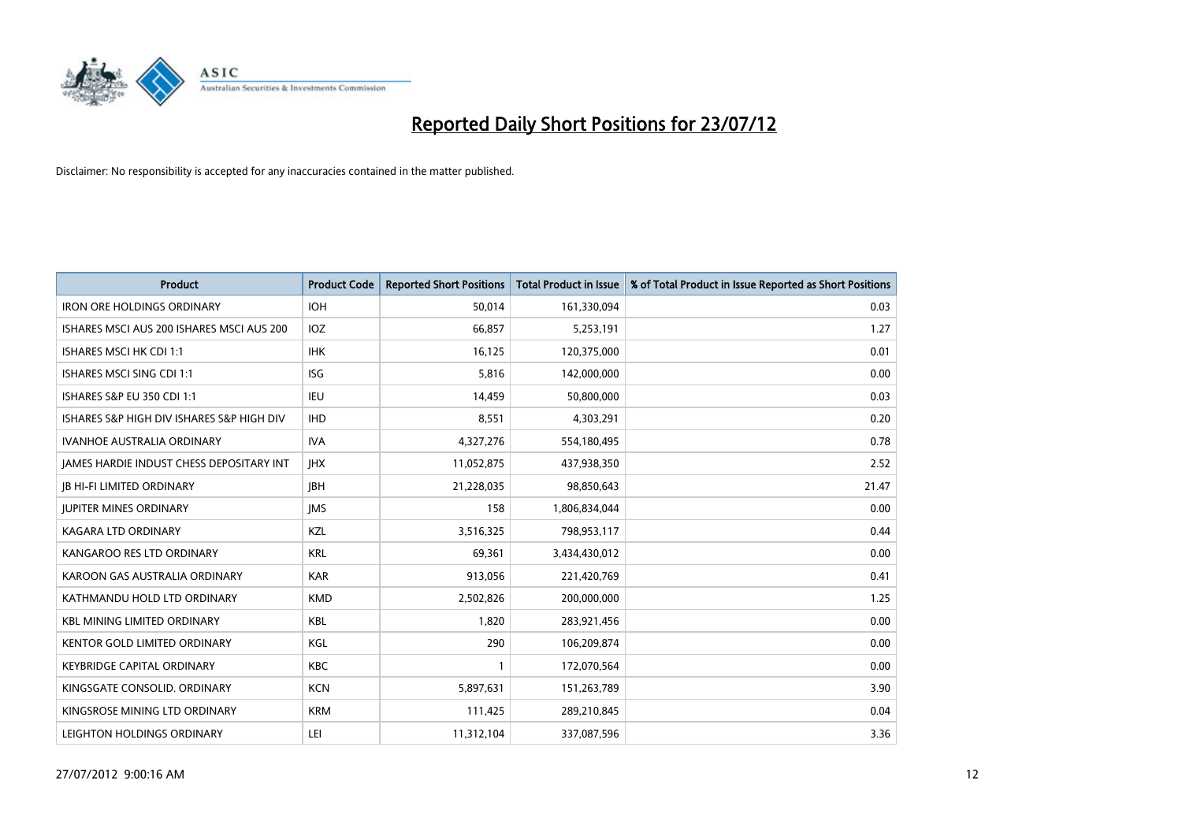

| <b>Product</b>                            | <b>Product Code</b> | <b>Reported Short Positions</b> | <b>Total Product in Issue</b> | % of Total Product in Issue Reported as Short Positions |
|-------------------------------------------|---------------------|---------------------------------|-------------------------------|---------------------------------------------------------|
| <b>IRON ORE HOLDINGS ORDINARY</b>         | <b>IOH</b>          | 50,014                          | 161,330,094                   | 0.03                                                    |
| ISHARES MSCI AUS 200 ISHARES MSCI AUS 200 | <b>IOZ</b>          | 66,857                          | 5,253,191                     | 1.27                                                    |
| <b>ISHARES MSCI HK CDI 1:1</b>            | <b>IHK</b>          | 16,125                          | 120,375,000                   | 0.01                                                    |
| ISHARES MSCI SING CDI 1:1                 | <b>ISG</b>          | 5,816                           | 142,000,000                   | 0.00                                                    |
| ISHARES S&P EU 350 CDI 1:1                | <b>IEU</b>          | 14,459                          | 50,800,000                    | 0.03                                                    |
| ISHARES S&P HIGH DIV ISHARES S&P HIGH DIV | <b>IHD</b>          | 8,551                           | 4,303,291                     | 0.20                                                    |
| <b>IVANHOE AUSTRALIA ORDINARY</b>         | <b>IVA</b>          | 4,327,276                       | 554,180,495                   | 0.78                                                    |
| JAMES HARDIE INDUST CHESS DEPOSITARY INT  | <b>IHX</b>          | 11,052,875                      | 437,938,350                   | 2.52                                                    |
| <b>IB HI-FI LIMITED ORDINARY</b>          | <b>IBH</b>          | 21,228,035                      | 98,850,643                    | 21.47                                                   |
| <b>JUPITER MINES ORDINARY</b>             | <b>IMS</b>          | 158                             | 1,806,834,044                 | 0.00                                                    |
| KAGARA LTD ORDINARY                       | <b>KZL</b>          | 3,516,325                       | 798,953,117                   | 0.44                                                    |
| KANGAROO RES LTD ORDINARY                 | <b>KRL</b>          | 69,361                          | 3,434,430,012                 | 0.00                                                    |
| KAROON GAS AUSTRALIA ORDINARY             | <b>KAR</b>          | 913,056                         | 221,420,769                   | 0.41                                                    |
| KATHMANDU HOLD LTD ORDINARY               | <b>KMD</b>          | 2,502,826                       | 200,000,000                   | 1.25                                                    |
| <b>KBL MINING LIMITED ORDINARY</b>        | <b>KBL</b>          | 1,820                           | 283,921,456                   | 0.00                                                    |
| <b>KENTOR GOLD LIMITED ORDINARY</b>       | KGL                 | 290                             | 106,209,874                   | 0.00                                                    |
| <b>KEYBRIDGE CAPITAL ORDINARY</b>         | <b>KBC</b>          |                                 | 172,070,564                   | 0.00                                                    |
| KINGSGATE CONSOLID. ORDINARY              | <b>KCN</b>          | 5,897,631                       | 151,263,789                   | 3.90                                                    |
| KINGSROSE MINING LTD ORDINARY             | <b>KRM</b>          | 111,425                         | 289,210,845                   | 0.04                                                    |
| LEIGHTON HOLDINGS ORDINARY                | LEI                 | 11,312,104                      | 337,087,596                   | 3.36                                                    |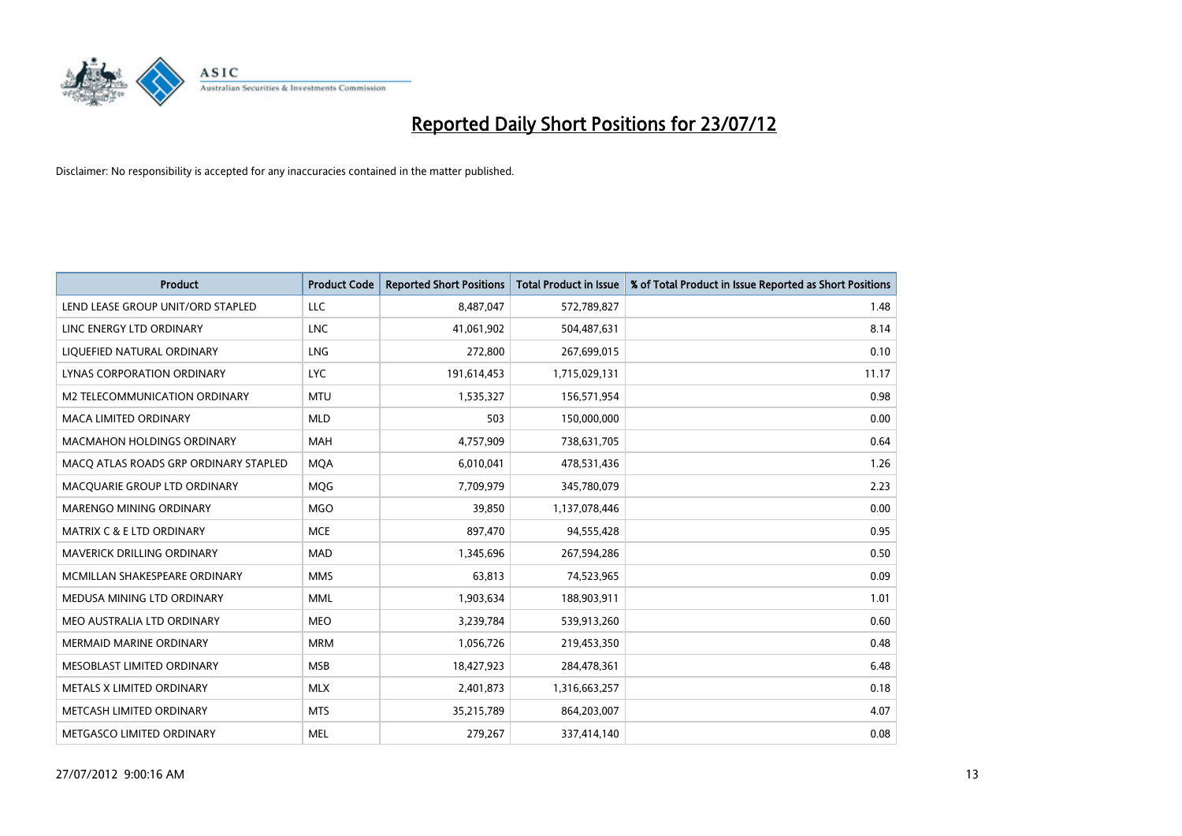

| <b>Product</b>                        | <b>Product Code</b> | <b>Reported Short Positions</b> | <b>Total Product in Issue</b> | % of Total Product in Issue Reported as Short Positions |
|---------------------------------------|---------------------|---------------------------------|-------------------------------|---------------------------------------------------------|
| LEND LEASE GROUP UNIT/ORD STAPLED     | LLC                 | 8,487,047                       | 572,789,827                   | 1.48                                                    |
| LINC ENERGY LTD ORDINARY              | <b>LNC</b>          | 41,061,902                      | 504,487,631                   | 8.14                                                    |
| LIQUEFIED NATURAL ORDINARY            | <b>LNG</b>          | 272,800                         | 267,699,015                   | 0.10                                                    |
| LYNAS CORPORATION ORDINARY            | <b>LYC</b>          | 191,614,453                     | 1,715,029,131                 | 11.17                                                   |
| M2 TELECOMMUNICATION ORDINARY         | <b>MTU</b>          | 1,535,327                       | 156,571,954                   | 0.98                                                    |
| <b>MACA LIMITED ORDINARY</b>          | <b>MLD</b>          | 503                             | 150,000,000                   | 0.00                                                    |
| <b>MACMAHON HOLDINGS ORDINARY</b>     | <b>MAH</b>          | 4,757,909                       | 738,631,705                   | 0.64                                                    |
| MACO ATLAS ROADS GRP ORDINARY STAPLED | <b>MQA</b>          | 6,010,041                       | 478,531,436                   | 1.26                                                    |
| MACQUARIE GROUP LTD ORDINARY          | <b>MOG</b>          | 7,709,979                       | 345,780,079                   | 2.23                                                    |
| MARENGO MINING ORDINARY               | <b>MGO</b>          | 39,850                          | 1,137,078,446                 | 0.00                                                    |
| MATRIX C & E LTD ORDINARY             | <b>MCE</b>          | 897,470                         | 94,555,428                    | 0.95                                                    |
| <b>MAVERICK DRILLING ORDINARY</b>     | <b>MAD</b>          | 1,345,696                       | 267,594,286                   | 0.50                                                    |
| MCMILLAN SHAKESPEARE ORDINARY         | <b>MMS</b>          | 63,813                          | 74,523,965                    | 0.09                                                    |
| MEDUSA MINING LTD ORDINARY            | <b>MML</b>          | 1,903,634                       | 188,903,911                   | 1.01                                                    |
| MEO AUSTRALIA LTD ORDINARY            | <b>MEO</b>          | 3,239,784                       | 539,913,260                   | 0.60                                                    |
| MERMAID MARINE ORDINARY               | <b>MRM</b>          | 1,056,726                       | 219,453,350                   | 0.48                                                    |
| MESOBLAST LIMITED ORDINARY            | <b>MSB</b>          | 18,427,923                      | 284,478,361                   | 6.48                                                    |
| METALS X LIMITED ORDINARY             | <b>MLX</b>          | 2,401,873                       | 1,316,663,257                 | 0.18                                                    |
| METCASH LIMITED ORDINARY              | <b>MTS</b>          | 35,215,789                      | 864,203,007                   | 4.07                                                    |
| METGASCO LIMITED ORDINARY             | <b>MEL</b>          | 279.267                         | 337,414,140                   | 0.08                                                    |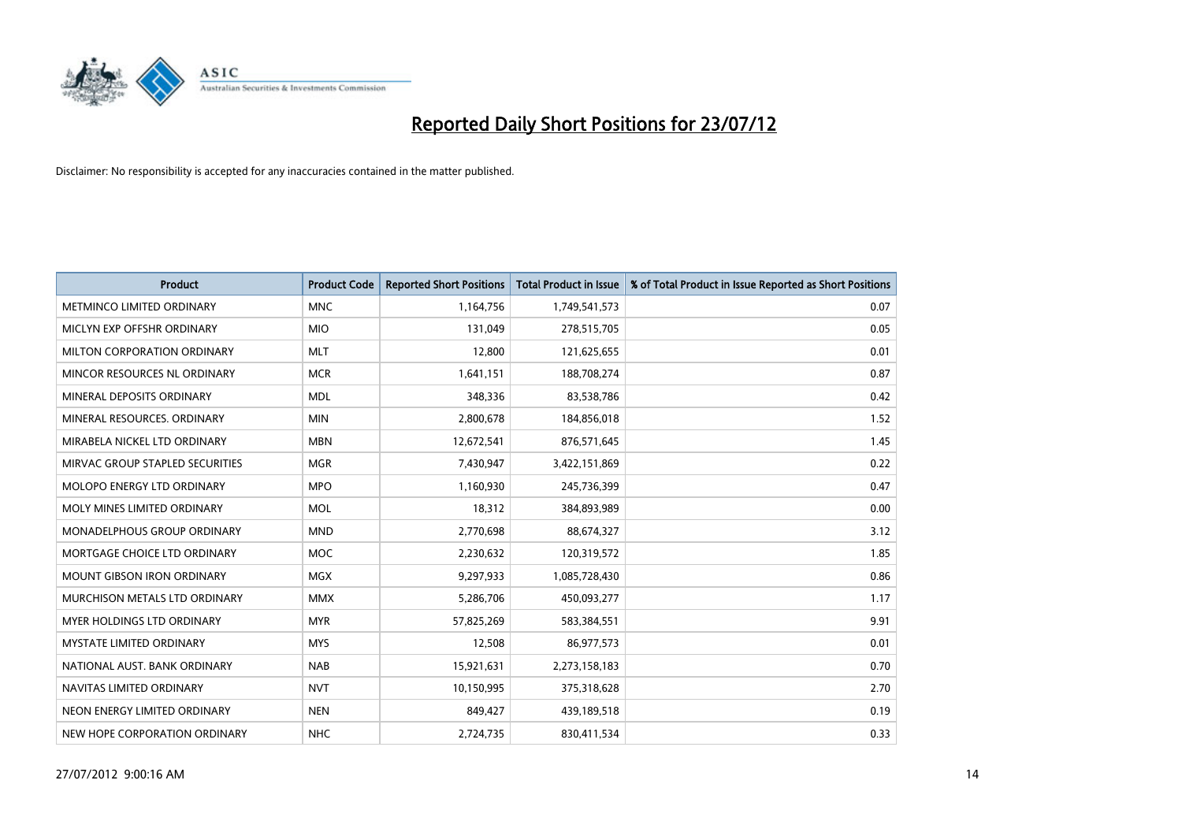

| <b>Product</b>                    | <b>Product Code</b> | <b>Reported Short Positions</b> | <b>Total Product in Issue</b> | % of Total Product in Issue Reported as Short Positions |
|-----------------------------------|---------------------|---------------------------------|-------------------------------|---------------------------------------------------------|
| <b>METMINCO LIMITED ORDINARY</b>  | <b>MNC</b>          | 1,164,756                       | 1,749,541,573                 | 0.07                                                    |
| MICLYN EXP OFFSHR ORDINARY        | <b>MIO</b>          | 131,049                         | 278,515,705                   | 0.05                                                    |
| MILTON CORPORATION ORDINARY       | <b>MLT</b>          | 12,800                          | 121,625,655                   | 0.01                                                    |
| MINCOR RESOURCES NL ORDINARY      | <b>MCR</b>          | 1,641,151                       | 188,708,274                   | 0.87                                                    |
| MINERAL DEPOSITS ORDINARY         | <b>MDL</b>          | 348,336                         | 83,538,786                    | 0.42                                                    |
| MINERAL RESOURCES, ORDINARY       | <b>MIN</b>          | 2,800,678                       | 184,856,018                   | 1.52                                                    |
| MIRABELA NICKEL LTD ORDINARY      | <b>MBN</b>          | 12,672,541                      | 876,571,645                   | 1.45                                                    |
| MIRVAC GROUP STAPLED SECURITIES   | <b>MGR</b>          | 7,430,947                       | 3,422,151,869                 | 0.22                                                    |
| MOLOPO ENERGY LTD ORDINARY        | <b>MPO</b>          | 1,160,930                       | 245,736,399                   | 0.47                                                    |
| MOLY MINES LIMITED ORDINARY       | <b>MOL</b>          | 18,312                          | 384,893,989                   | 0.00                                                    |
| MONADELPHOUS GROUP ORDINARY       | <b>MND</b>          | 2,770,698                       | 88,674,327                    | 3.12                                                    |
| MORTGAGE CHOICE LTD ORDINARY      | MOC                 | 2,230,632                       | 120,319,572                   | 1.85                                                    |
| <b>MOUNT GIBSON IRON ORDINARY</b> | <b>MGX</b>          | 9,297,933                       | 1,085,728,430                 | 0.86                                                    |
| MURCHISON METALS LTD ORDINARY     | <b>MMX</b>          | 5,286,706                       | 450,093,277                   | 1.17                                                    |
| <b>MYER HOLDINGS LTD ORDINARY</b> | <b>MYR</b>          | 57,825,269                      | 583,384,551                   | 9.91                                                    |
| <b>MYSTATE LIMITED ORDINARY</b>   | <b>MYS</b>          | 12,508                          | 86,977,573                    | 0.01                                                    |
| NATIONAL AUST. BANK ORDINARY      | <b>NAB</b>          | 15,921,631                      | 2,273,158,183                 | 0.70                                                    |
| NAVITAS LIMITED ORDINARY          | <b>NVT</b>          | 10,150,995                      | 375,318,628                   | 2.70                                                    |
| NEON ENERGY LIMITED ORDINARY      | <b>NEN</b>          | 849,427                         | 439,189,518                   | 0.19                                                    |
| NEW HOPE CORPORATION ORDINARY     | <b>NHC</b>          | 2,724,735                       | 830,411,534                   | 0.33                                                    |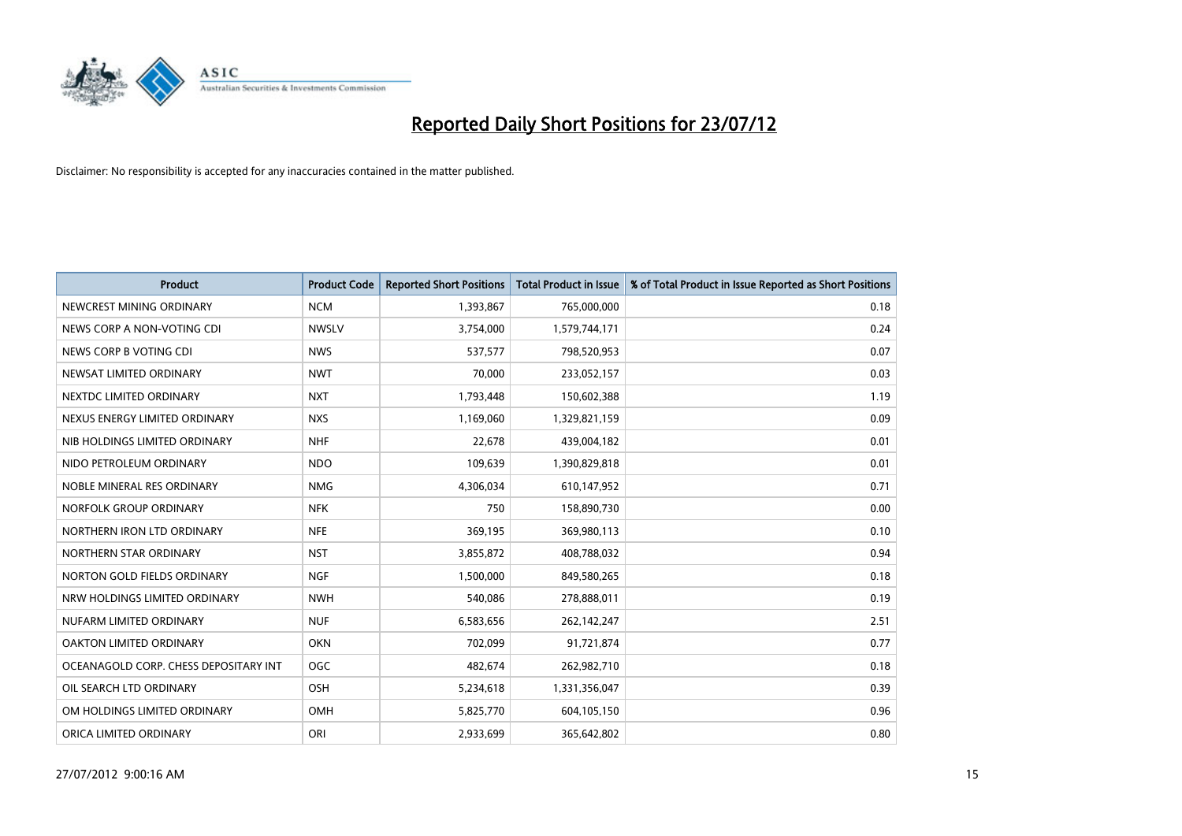

| <b>Product</b>                        | <b>Product Code</b> | <b>Reported Short Positions</b> | <b>Total Product in Issue</b> | % of Total Product in Issue Reported as Short Positions |
|---------------------------------------|---------------------|---------------------------------|-------------------------------|---------------------------------------------------------|
| NEWCREST MINING ORDINARY              | <b>NCM</b>          | 1,393,867                       | 765,000,000                   | 0.18                                                    |
| NEWS CORP A NON-VOTING CDI            | <b>NWSLV</b>        | 3,754,000                       | 1,579,744,171                 | 0.24                                                    |
| NEWS CORP B VOTING CDI                | <b>NWS</b>          | 537,577                         | 798,520,953                   | 0.07                                                    |
| NEWSAT LIMITED ORDINARY               | <b>NWT</b>          | 70,000                          | 233,052,157                   | 0.03                                                    |
| NEXTDC LIMITED ORDINARY               | <b>NXT</b>          | 1,793,448                       | 150,602,388                   | 1.19                                                    |
| NEXUS ENERGY LIMITED ORDINARY         | <b>NXS</b>          | 1,169,060                       | 1,329,821,159                 | 0.09                                                    |
| NIB HOLDINGS LIMITED ORDINARY         | <b>NHF</b>          | 22,678                          | 439,004,182                   | 0.01                                                    |
| NIDO PETROLEUM ORDINARY               | <b>NDO</b>          | 109,639                         | 1,390,829,818                 | 0.01                                                    |
| NOBLE MINERAL RES ORDINARY            | <b>NMG</b>          | 4,306,034                       | 610,147,952                   | 0.71                                                    |
| NORFOLK GROUP ORDINARY                | <b>NFK</b>          | 750                             | 158,890,730                   | 0.00                                                    |
| NORTHERN IRON LTD ORDINARY            | <b>NFE</b>          | 369,195                         | 369,980,113                   | 0.10                                                    |
| NORTHERN STAR ORDINARY                | <b>NST</b>          | 3,855,872                       | 408,788,032                   | 0.94                                                    |
| NORTON GOLD FIELDS ORDINARY           | <b>NGF</b>          | 1,500,000                       | 849,580,265                   | 0.18                                                    |
| NRW HOLDINGS LIMITED ORDINARY         | <b>NWH</b>          | 540,086                         | 278,888,011                   | 0.19                                                    |
| NUFARM LIMITED ORDINARY               | <b>NUF</b>          | 6,583,656                       | 262,142,247                   | 2.51                                                    |
| OAKTON LIMITED ORDINARY               | <b>OKN</b>          | 702,099                         | 91,721,874                    | 0.77                                                    |
| OCEANAGOLD CORP. CHESS DEPOSITARY INT | <b>OGC</b>          | 482,674                         | 262,982,710                   | 0.18                                                    |
| OIL SEARCH LTD ORDINARY               | OSH                 | 5,234,618                       | 1,331,356,047                 | 0.39                                                    |
| OM HOLDINGS LIMITED ORDINARY          | OMH                 | 5,825,770                       | 604,105,150                   | 0.96                                                    |
| ORICA LIMITED ORDINARY                | ORI                 | 2,933,699                       | 365,642,802                   | 0.80                                                    |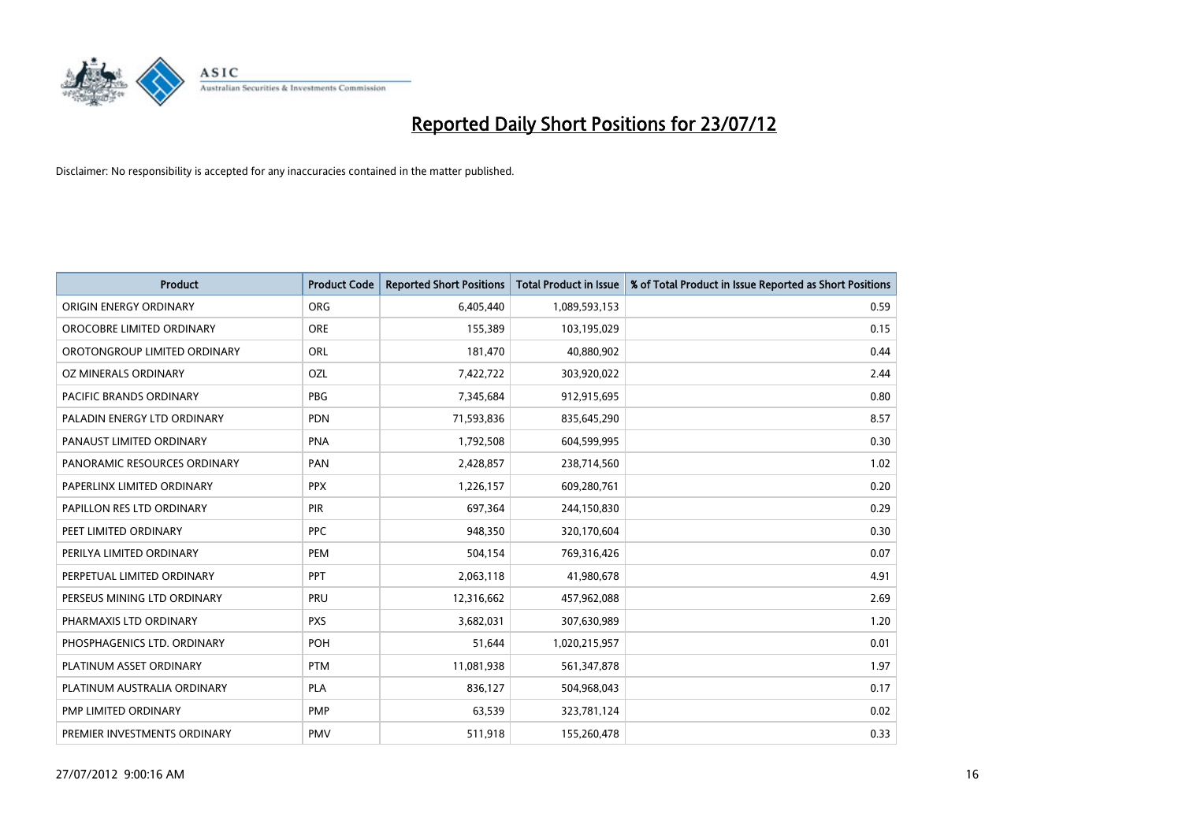

| <b>Product</b>               | <b>Product Code</b> | <b>Reported Short Positions</b> | <b>Total Product in Issue</b> | % of Total Product in Issue Reported as Short Positions |
|------------------------------|---------------------|---------------------------------|-------------------------------|---------------------------------------------------------|
| ORIGIN ENERGY ORDINARY       | <b>ORG</b>          | 6,405,440                       | 1,089,593,153                 | 0.59                                                    |
| OROCOBRE LIMITED ORDINARY    | <b>ORE</b>          | 155,389                         | 103,195,029                   | 0.15                                                    |
| OROTONGROUP LIMITED ORDINARY | ORL                 | 181,470                         | 40,880,902                    | 0.44                                                    |
| OZ MINERALS ORDINARY         | OZL                 | 7,422,722                       | 303,920,022                   | 2.44                                                    |
| PACIFIC BRANDS ORDINARY      | <b>PBG</b>          | 7,345,684                       | 912,915,695                   | 0.80                                                    |
| PALADIN ENERGY LTD ORDINARY  | <b>PDN</b>          | 71,593,836                      | 835,645,290                   | 8.57                                                    |
| PANAUST LIMITED ORDINARY     | <b>PNA</b>          | 1,792,508                       | 604,599,995                   | 0.30                                                    |
| PANORAMIC RESOURCES ORDINARY | PAN                 | 2,428,857                       | 238,714,560                   | 1.02                                                    |
| PAPERLINX LIMITED ORDINARY   | <b>PPX</b>          | 1,226,157                       | 609,280,761                   | 0.20                                                    |
| PAPILLON RES LTD ORDINARY    | <b>PIR</b>          | 697,364                         | 244,150,830                   | 0.29                                                    |
| PEET LIMITED ORDINARY        | <b>PPC</b>          | 948,350                         | 320,170,604                   | 0.30                                                    |
| PERILYA LIMITED ORDINARY     | PEM                 | 504,154                         | 769,316,426                   | 0.07                                                    |
| PERPETUAL LIMITED ORDINARY   | <b>PPT</b>          | 2,063,118                       | 41,980,678                    | 4.91                                                    |
| PERSEUS MINING LTD ORDINARY  | PRU                 | 12,316,662                      | 457,962,088                   | 2.69                                                    |
| PHARMAXIS LTD ORDINARY       | <b>PXS</b>          | 3,682,031                       | 307,630,989                   | 1.20                                                    |
| PHOSPHAGENICS LTD. ORDINARY  | POH                 | 51,644                          | 1,020,215,957                 | 0.01                                                    |
| PLATINUM ASSET ORDINARY      | <b>PTM</b>          | 11,081,938                      | 561,347,878                   | 1.97                                                    |
| PLATINUM AUSTRALIA ORDINARY  | <b>PLA</b>          | 836,127                         | 504,968,043                   | 0.17                                                    |
| PMP LIMITED ORDINARY         | <b>PMP</b>          | 63,539                          | 323,781,124                   | 0.02                                                    |
| PREMIER INVESTMENTS ORDINARY | PMV                 | 511,918                         | 155,260,478                   | 0.33                                                    |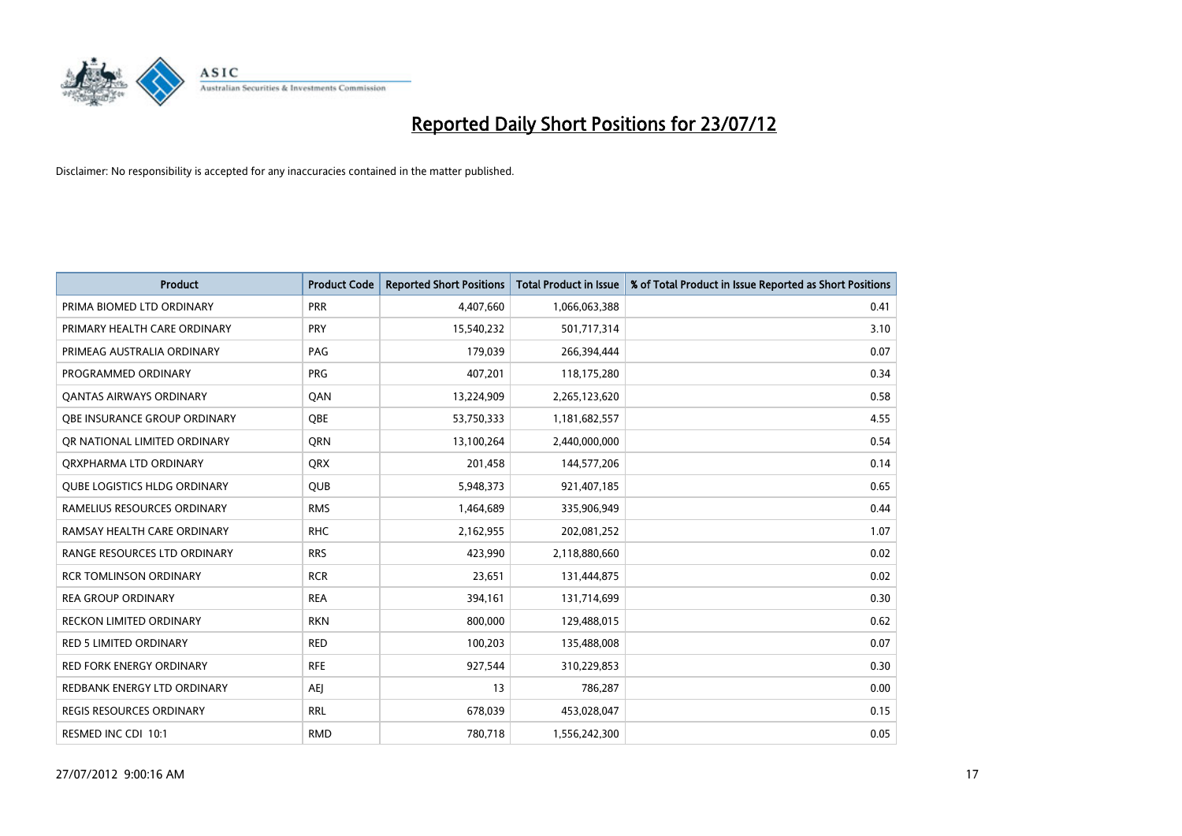

| <b>Product</b>                      | <b>Product Code</b> | <b>Reported Short Positions</b> | <b>Total Product in Issue</b> | % of Total Product in Issue Reported as Short Positions |
|-------------------------------------|---------------------|---------------------------------|-------------------------------|---------------------------------------------------------|
| PRIMA BIOMED LTD ORDINARY           | <b>PRR</b>          | 4,407,660                       | 1,066,063,388                 | 0.41                                                    |
| PRIMARY HEALTH CARE ORDINARY        | <b>PRY</b>          | 15,540,232                      | 501,717,314                   | 3.10                                                    |
| PRIMEAG AUSTRALIA ORDINARY          | PAG                 | 179,039                         | 266,394,444                   | 0.07                                                    |
| PROGRAMMED ORDINARY                 | <b>PRG</b>          | 407,201                         | 118,175,280                   | 0.34                                                    |
| <b>QANTAS AIRWAYS ORDINARY</b>      | QAN                 | 13,224,909                      | 2,265,123,620                 | 0.58                                                    |
| OBE INSURANCE GROUP ORDINARY        | <b>OBE</b>          | 53,750,333                      | 1,181,682,557                 | 4.55                                                    |
| OR NATIONAL LIMITED ORDINARY        | <b>ORN</b>          | 13,100,264                      | 2,440,000,000                 | 0.54                                                    |
| ORXPHARMA LTD ORDINARY              | <b>QRX</b>          | 201,458                         | 144,577,206                   | 0.14                                                    |
| <b>QUBE LOGISTICS HLDG ORDINARY</b> | QUB                 | 5,948,373                       | 921,407,185                   | 0.65                                                    |
| RAMELIUS RESOURCES ORDINARY         | <b>RMS</b>          | 1,464,689                       | 335,906,949                   | 0.44                                                    |
| RAMSAY HEALTH CARE ORDINARY         | <b>RHC</b>          | 2,162,955                       | 202,081,252                   | 1.07                                                    |
| RANGE RESOURCES LTD ORDINARY        | <b>RRS</b>          | 423,990                         | 2,118,880,660                 | 0.02                                                    |
| <b>RCR TOMLINSON ORDINARY</b>       | <b>RCR</b>          | 23,651                          | 131,444,875                   | 0.02                                                    |
| <b>REA GROUP ORDINARY</b>           | <b>REA</b>          | 394,161                         | 131,714,699                   | 0.30                                                    |
| <b>RECKON LIMITED ORDINARY</b>      | <b>RKN</b>          | 800,000                         | 129,488,015                   | 0.62                                                    |
| <b>RED 5 LIMITED ORDINARY</b>       | <b>RED</b>          | 100,203                         | 135,488,008                   | 0.07                                                    |
| <b>RED FORK ENERGY ORDINARY</b>     | <b>RFE</b>          | 927,544                         | 310,229,853                   | 0.30                                                    |
| REDBANK ENERGY LTD ORDINARY         | AEJ                 | 13                              | 786,287                       | 0.00                                                    |
| REGIS RESOURCES ORDINARY            | <b>RRL</b>          | 678,039                         | 453,028,047                   | 0.15                                                    |
| RESMED INC CDI 10:1                 | <b>RMD</b>          | 780,718                         | 1,556,242,300                 | 0.05                                                    |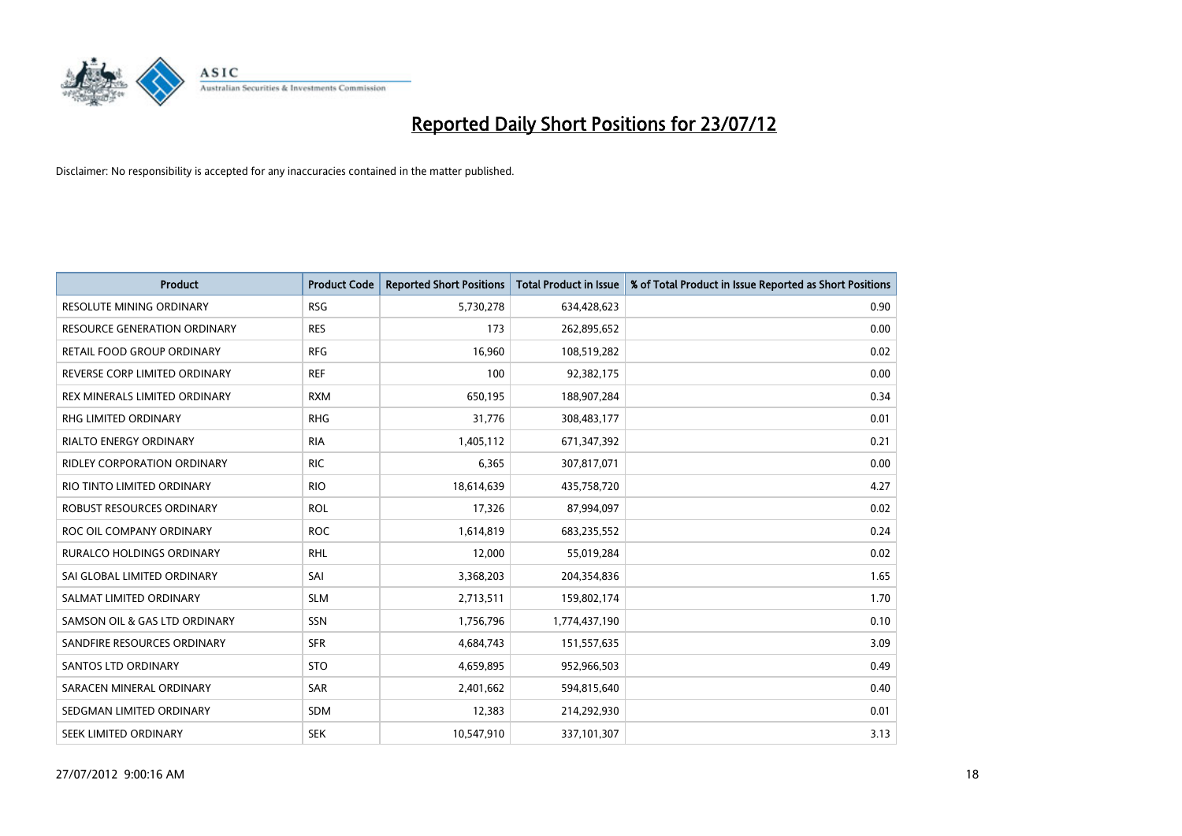

| <b>Product</b>                      | <b>Product Code</b> | <b>Reported Short Positions</b> | <b>Total Product in Issue</b> | % of Total Product in Issue Reported as Short Positions |
|-------------------------------------|---------------------|---------------------------------|-------------------------------|---------------------------------------------------------|
| RESOLUTE MINING ORDINARY            | <b>RSG</b>          | 5,730,278                       | 634,428,623                   | 0.90                                                    |
| <b>RESOURCE GENERATION ORDINARY</b> | <b>RES</b>          | 173                             | 262,895,652                   | 0.00                                                    |
| RETAIL FOOD GROUP ORDINARY          | <b>RFG</b>          | 16,960                          | 108,519,282                   | 0.02                                                    |
| REVERSE CORP LIMITED ORDINARY       | <b>REF</b>          | 100                             | 92,382,175                    | 0.00                                                    |
| REX MINERALS LIMITED ORDINARY       | <b>RXM</b>          | 650,195                         | 188,907,284                   | 0.34                                                    |
| <b>RHG LIMITED ORDINARY</b>         | <b>RHG</b>          | 31,776                          | 308,483,177                   | 0.01                                                    |
| <b>RIALTO ENERGY ORDINARY</b>       | <b>RIA</b>          | 1,405,112                       | 671,347,392                   | 0.21                                                    |
| RIDLEY CORPORATION ORDINARY         | <b>RIC</b>          | 6,365                           | 307,817,071                   | 0.00                                                    |
| RIO TINTO LIMITED ORDINARY          | <b>RIO</b>          | 18,614,639                      | 435,758,720                   | 4.27                                                    |
| ROBUST RESOURCES ORDINARY           | <b>ROL</b>          | 17,326                          | 87,994,097                    | 0.02                                                    |
| ROC OIL COMPANY ORDINARY            | <b>ROC</b>          | 1,614,819                       | 683,235,552                   | 0.24                                                    |
| RURALCO HOLDINGS ORDINARY           | <b>RHL</b>          | 12,000                          | 55,019,284                    | 0.02                                                    |
| SAI GLOBAL LIMITED ORDINARY         | SAI                 | 3,368,203                       | 204,354,836                   | 1.65                                                    |
| SALMAT LIMITED ORDINARY             | <b>SLM</b>          | 2,713,511                       | 159,802,174                   | 1.70                                                    |
| SAMSON OIL & GAS LTD ORDINARY       | SSN                 | 1,756,796                       | 1,774,437,190                 | 0.10                                                    |
| SANDFIRE RESOURCES ORDINARY         | <b>SFR</b>          | 4,684,743                       | 151,557,635                   | 3.09                                                    |
| SANTOS LTD ORDINARY                 | <b>STO</b>          | 4,659,895                       | 952,966,503                   | 0.49                                                    |
| SARACEN MINERAL ORDINARY            | SAR                 | 2,401,662                       | 594,815,640                   | 0.40                                                    |
| SEDGMAN LIMITED ORDINARY            | <b>SDM</b>          | 12,383                          | 214,292,930                   | 0.01                                                    |
| SEEK LIMITED ORDINARY               | <b>SEK</b>          | 10,547,910                      | 337,101,307                   | 3.13                                                    |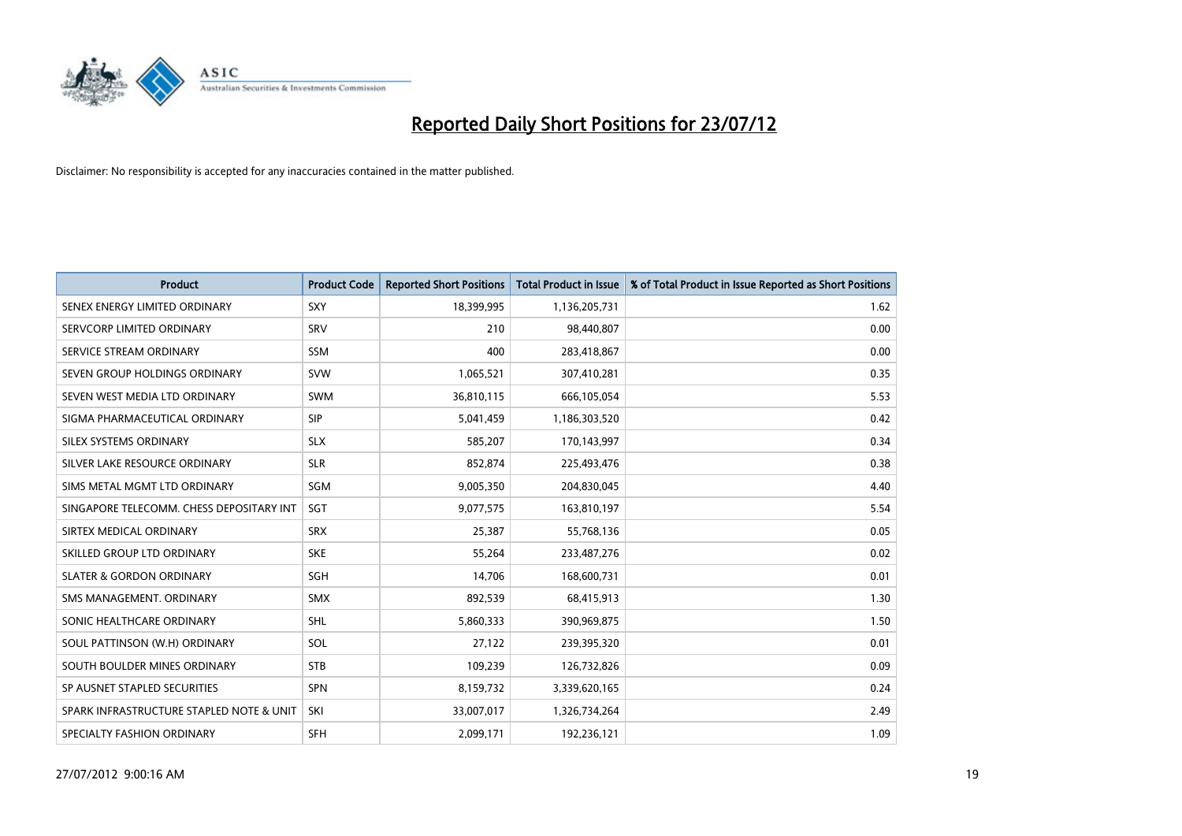

| <b>Product</b>                           | <b>Product Code</b> | <b>Reported Short Positions</b> | <b>Total Product in Issue</b> | % of Total Product in Issue Reported as Short Positions |
|------------------------------------------|---------------------|---------------------------------|-------------------------------|---------------------------------------------------------|
| SENEX ENERGY LIMITED ORDINARY            | <b>SXY</b>          | 18,399,995                      | 1,136,205,731                 | 1.62                                                    |
| SERVCORP LIMITED ORDINARY                | SRV                 | 210                             | 98,440,807                    | 0.00                                                    |
| SERVICE STREAM ORDINARY                  | <b>SSM</b>          | 400                             | 283,418,867                   | 0.00                                                    |
| SEVEN GROUP HOLDINGS ORDINARY            | <b>SVW</b>          | 1,065,521                       | 307,410,281                   | 0.35                                                    |
| SEVEN WEST MEDIA LTD ORDINARY            | <b>SWM</b>          | 36,810,115                      | 666,105,054                   | 5.53                                                    |
| SIGMA PHARMACEUTICAL ORDINARY            | <b>SIP</b>          | 5,041,459                       | 1,186,303,520                 | 0.42                                                    |
| SILEX SYSTEMS ORDINARY                   | <b>SLX</b>          | 585.207                         | 170,143,997                   | 0.34                                                    |
| SILVER LAKE RESOURCE ORDINARY            | <b>SLR</b>          | 852,874                         | 225,493,476                   | 0.38                                                    |
| SIMS METAL MGMT LTD ORDINARY             | SGM                 | 9,005,350                       | 204,830,045                   | 4.40                                                    |
| SINGAPORE TELECOMM. CHESS DEPOSITARY INT | SGT                 | 9,077,575                       | 163,810,197                   | 5.54                                                    |
| SIRTEX MEDICAL ORDINARY                  | <b>SRX</b>          | 25,387                          | 55,768,136                    | 0.05                                                    |
| SKILLED GROUP LTD ORDINARY               | <b>SKE</b>          | 55,264                          | 233,487,276                   | 0.02                                                    |
| <b>SLATER &amp; GORDON ORDINARY</b>      | <b>SGH</b>          | 14,706                          | 168,600,731                   | 0.01                                                    |
| SMS MANAGEMENT, ORDINARY                 | <b>SMX</b>          | 892,539                         | 68,415,913                    | 1.30                                                    |
| SONIC HEALTHCARE ORDINARY                | <b>SHL</b>          | 5,860,333                       | 390,969,875                   | 1.50                                                    |
| SOUL PATTINSON (W.H) ORDINARY            | SOL                 | 27,122                          | 239,395,320                   | 0.01                                                    |
| SOUTH BOULDER MINES ORDINARY             | <b>STB</b>          | 109,239                         | 126,732,826                   | 0.09                                                    |
| SP AUSNET STAPLED SECURITIES             | <b>SPN</b>          | 8,159,732                       | 3,339,620,165                 | 0.24                                                    |
| SPARK INFRASTRUCTURE STAPLED NOTE & UNIT | SKI                 | 33,007,017                      | 1,326,734,264                 | 2.49                                                    |
| SPECIALTY FASHION ORDINARY               | <b>SFH</b>          | 2.099.171                       | 192,236,121                   | 1.09                                                    |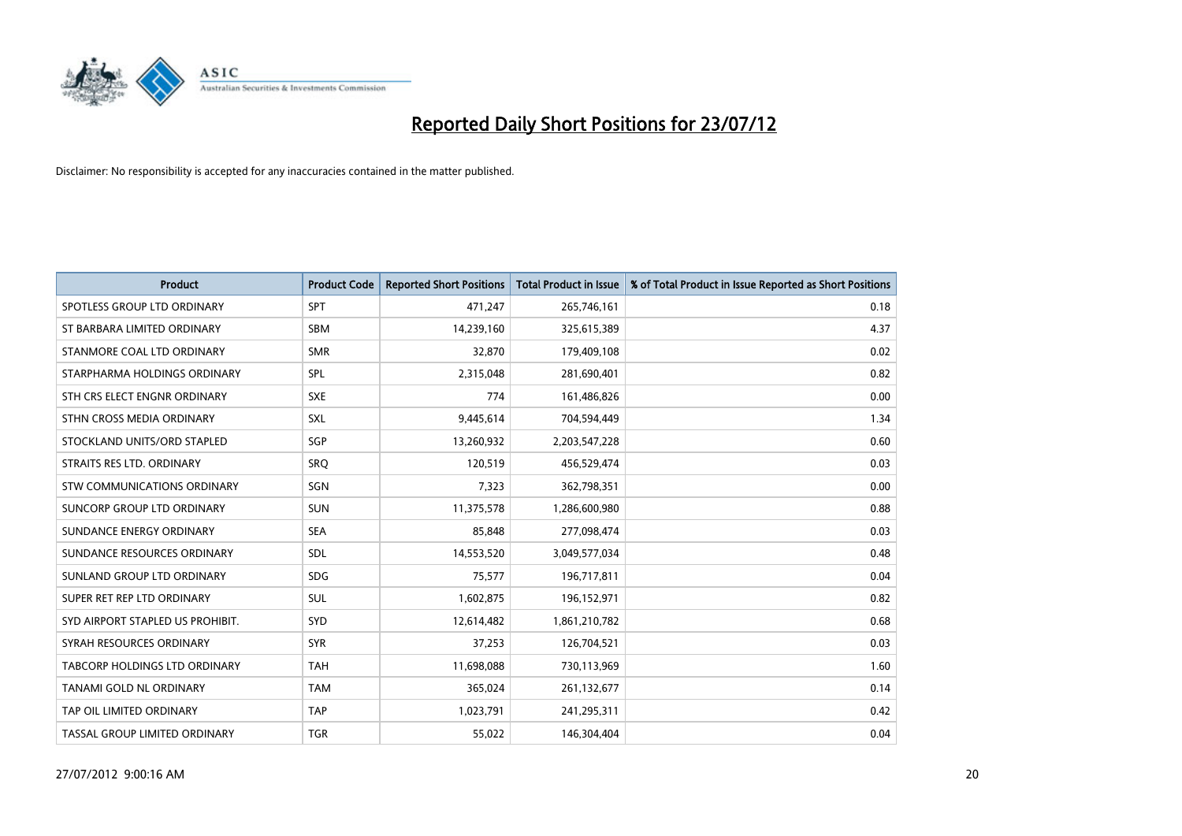

| <b>Product</b>                   | <b>Product Code</b> | <b>Reported Short Positions</b> | <b>Total Product in Issue</b> | % of Total Product in Issue Reported as Short Positions |
|----------------------------------|---------------------|---------------------------------|-------------------------------|---------------------------------------------------------|
| SPOTLESS GROUP LTD ORDINARY      | <b>SPT</b>          | 471,247                         | 265,746,161                   | 0.18                                                    |
| ST BARBARA LIMITED ORDINARY      | <b>SBM</b>          | 14,239,160                      | 325,615,389                   | 4.37                                                    |
| STANMORE COAL LTD ORDINARY       | <b>SMR</b>          | 32,870                          | 179,409,108                   | 0.02                                                    |
| STARPHARMA HOLDINGS ORDINARY     | SPL                 | 2,315,048                       | 281,690,401                   | 0.82                                                    |
| STH CRS ELECT ENGNR ORDINARY     | <b>SXE</b>          | 774                             | 161,486,826                   | 0.00                                                    |
| STHN CROSS MEDIA ORDINARY        | <b>SXL</b>          | 9,445,614                       | 704,594,449                   | 1.34                                                    |
| STOCKLAND UNITS/ORD STAPLED      | SGP                 | 13,260,932                      | 2,203,547,228                 | 0.60                                                    |
| STRAITS RES LTD. ORDINARY        | SRO                 | 120,519                         | 456,529,474                   | 0.03                                                    |
| STW COMMUNICATIONS ORDINARY      | SGN                 | 7,323                           | 362,798,351                   | 0.00                                                    |
| SUNCORP GROUP LTD ORDINARY       | <b>SUN</b>          | 11,375,578                      | 1,286,600,980                 | 0.88                                                    |
| SUNDANCE ENERGY ORDINARY         | <b>SEA</b>          | 85,848                          | 277,098,474                   | 0.03                                                    |
| SUNDANCE RESOURCES ORDINARY      | <b>SDL</b>          | 14,553,520                      | 3,049,577,034                 | 0.48                                                    |
| SUNLAND GROUP LTD ORDINARY       | <b>SDG</b>          | 75,577                          | 196,717,811                   | 0.04                                                    |
| SUPER RET REP LTD ORDINARY       | SUL                 | 1,602,875                       | 196,152,971                   | 0.82                                                    |
| SYD AIRPORT STAPLED US PROHIBIT. | SYD                 | 12,614,482                      | 1,861,210,782                 | 0.68                                                    |
| SYRAH RESOURCES ORDINARY         | <b>SYR</b>          | 37,253                          | 126,704,521                   | 0.03                                                    |
| TABCORP HOLDINGS LTD ORDINARY    | <b>TAH</b>          | 11,698,088                      | 730,113,969                   | 1.60                                                    |
| TANAMI GOLD NL ORDINARY          | <b>TAM</b>          | 365,024                         | 261,132,677                   | 0.14                                                    |
| TAP OIL LIMITED ORDINARY         | <b>TAP</b>          | 1,023,791                       | 241,295,311                   | 0.42                                                    |
| TASSAL GROUP LIMITED ORDINARY    | <b>TGR</b>          | 55,022                          | 146,304,404                   | 0.04                                                    |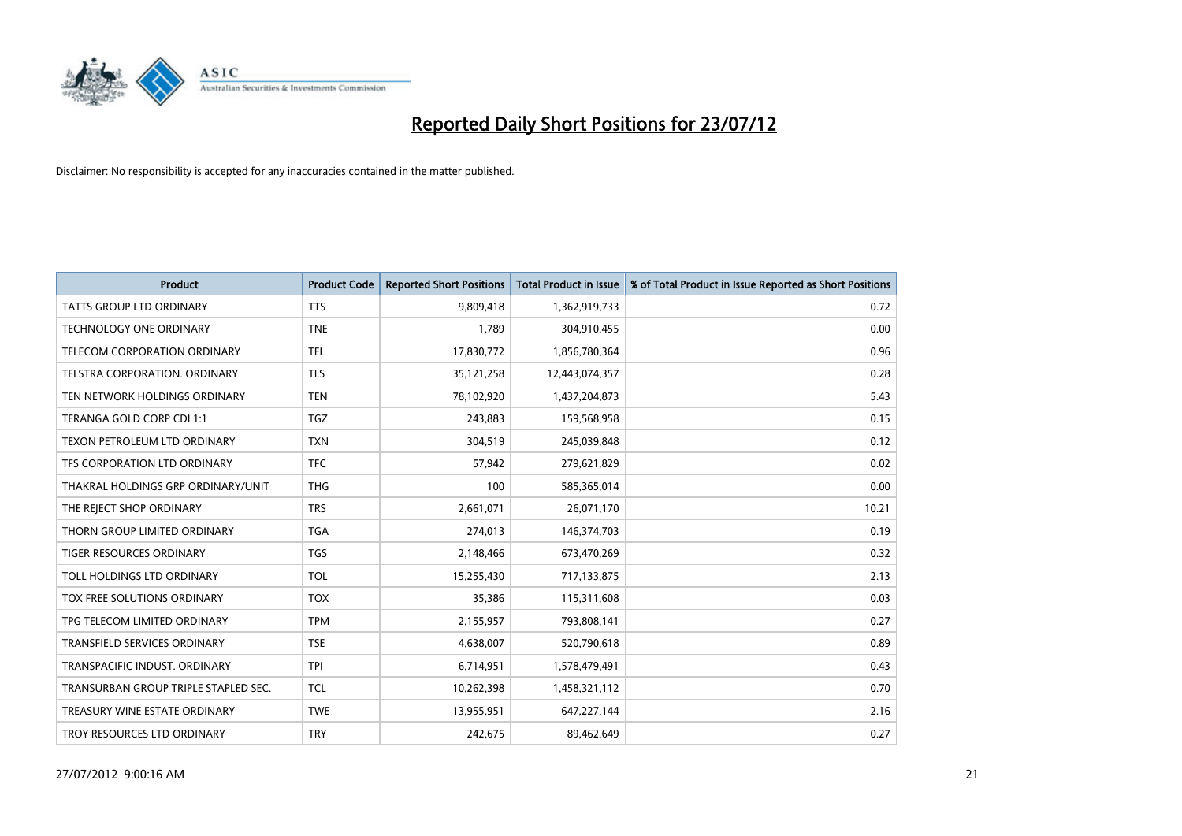

| <b>Product</b>                       | <b>Product Code</b> | <b>Reported Short Positions</b> | <b>Total Product in Issue</b> | % of Total Product in Issue Reported as Short Positions |
|--------------------------------------|---------------------|---------------------------------|-------------------------------|---------------------------------------------------------|
| <b>TATTS GROUP LTD ORDINARY</b>      | <b>TTS</b>          | 9,809,418                       | 1,362,919,733                 | 0.72                                                    |
| <b>TECHNOLOGY ONE ORDINARY</b>       | <b>TNE</b>          | 1,789                           | 304,910,455                   | 0.00                                                    |
| TELECOM CORPORATION ORDINARY         | <b>TEL</b>          | 17,830,772                      | 1,856,780,364                 | 0.96                                                    |
| <b>TELSTRA CORPORATION, ORDINARY</b> | <b>TLS</b>          | 35, 121, 258                    | 12,443,074,357                | 0.28                                                    |
| TEN NETWORK HOLDINGS ORDINARY        | <b>TEN</b>          | 78,102,920                      | 1,437,204,873                 | 5.43                                                    |
| TERANGA GOLD CORP CDI 1:1            | <b>TGZ</b>          | 243,883                         | 159,568,958                   | 0.15                                                    |
| TEXON PETROLEUM LTD ORDINARY         | <b>TXN</b>          | 304,519                         | 245,039,848                   | 0.12                                                    |
| TFS CORPORATION LTD ORDINARY         | <b>TFC</b>          | 57,942                          | 279,621,829                   | 0.02                                                    |
| THAKRAL HOLDINGS GRP ORDINARY/UNIT   | <b>THG</b>          | 100                             | 585,365,014                   | 0.00                                                    |
| THE REJECT SHOP ORDINARY             | <b>TRS</b>          | 2,661,071                       | 26,071,170                    | 10.21                                                   |
| THORN GROUP LIMITED ORDINARY         | <b>TGA</b>          | 274,013                         | 146,374,703                   | 0.19                                                    |
| TIGER RESOURCES ORDINARY             | <b>TGS</b>          | 2,148,466                       | 673,470,269                   | 0.32                                                    |
| TOLL HOLDINGS LTD ORDINARY           | <b>TOL</b>          | 15,255,430                      | 717,133,875                   | 2.13                                                    |
| TOX FREE SOLUTIONS ORDINARY          | <b>TOX</b>          | 35,386                          | 115,311,608                   | 0.03                                                    |
| TPG TELECOM LIMITED ORDINARY         | <b>TPM</b>          | 2,155,957                       | 793,808,141                   | 0.27                                                    |
| <b>TRANSFIELD SERVICES ORDINARY</b>  | <b>TSE</b>          | 4,638,007                       | 520,790,618                   | 0.89                                                    |
| TRANSPACIFIC INDUST. ORDINARY        | <b>TPI</b>          | 6,714,951                       | 1,578,479,491                 | 0.43                                                    |
| TRANSURBAN GROUP TRIPLE STAPLED SEC. | <b>TCL</b>          | 10,262,398                      | 1,458,321,112                 | 0.70                                                    |
| TREASURY WINE ESTATE ORDINARY        | <b>TWE</b>          | 13,955,951                      | 647,227,144                   | 2.16                                                    |
| TROY RESOURCES LTD ORDINARY          | <b>TRY</b>          | 242,675                         | 89,462,649                    | 0.27                                                    |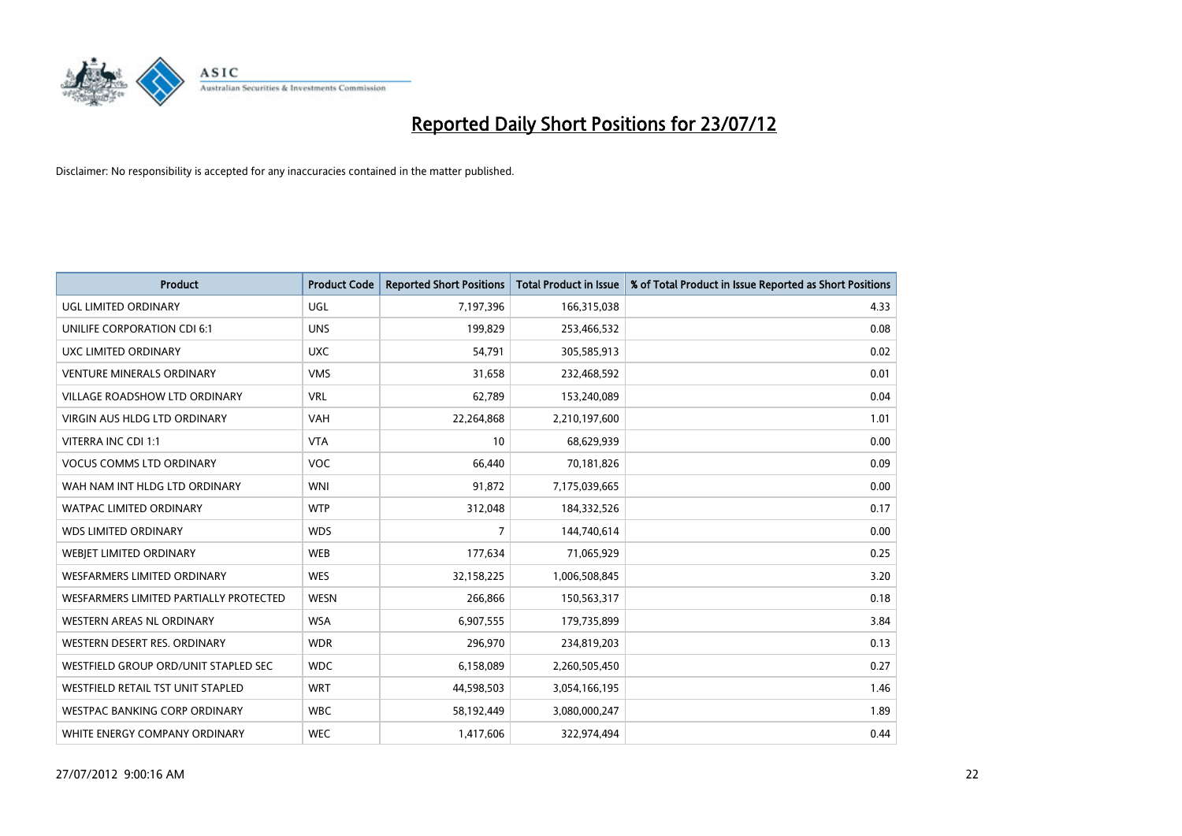

| <b>Product</b>                         | <b>Product Code</b> | <b>Reported Short Positions</b> | <b>Total Product in Issue</b> | % of Total Product in Issue Reported as Short Positions |
|----------------------------------------|---------------------|---------------------------------|-------------------------------|---------------------------------------------------------|
| UGL LIMITED ORDINARY                   | <b>UGL</b>          | 7,197,396                       | 166,315,038                   | 4.33                                                    |
| UNILIFE CORPORATION CDI 6:1            | <b>UNS</b>          | 199,829                         | 253,466,532                   | 0.08                                                    |
| UXC LIMITED ORDINARY                   | <b>UXC</b>          | 54,791                          | 305,585,913                   | 0.02                                                    |
| <b>VENTURE MINERALS ORDINARY</b>       | <b>VMS</b>          | 31,658                          | 232,468,592                   | 0.01                                                    |
| <b>VILLAGE ROADSHOW LTD ORDINARY</b>   | <b>VRL</b>          | 62,789                          | 153,240,089                   | 0.04                                                    |
| <b>VIRGIN AUS HLDG LTD ORDINARY</b>    | <b>VAH</b>          | 22,264,868                      | 2,210,197,600                 | 1.01                                                    |
| VITERRA INC CDI 1:1                    | <b>VTA</b>          | 10                              | 68,629,939                    | 0.00                                                    |
| <b>VOCUS COMMS LTD ORDINARY</b>        | <b>VOC</b>          | 66,440                          | 70,181,826                    | 0.09                                                    |
| WAH NAM INT HLDG LTD ORDINARY          | <b>WNI</b>          | 91,872                          | 7,175,039,665                 | 0.00                                                    |
| <b>WATPAC LIMITED ORDINARY</b>         | <b>WTP</b>          | 312,048                         | 184,332,526                   | 0.17                                                    |
| <b>WDS LIMITED ORDINARY</b>            | <b>WDS</b>          | 7                               | 144,740,614                   | 0.00                                                    |
| WEBIET LIMITED ORDINARY                | <b>WEB</b>          | 177,634                         | 71,065,929                    | 0.25                                                    |
| <b>WESFARMERS LIMITED ORDINARY</b>     | <b>WES</b>          | 32,158,225                      | 1,006,508,845                 | 3.20                                                    |
| WESFARMERS LIMITED PARTIALLY PROTECTED | <b>WESN</b>         | 266,866                         | 150,563,317                   | 0.18                                                    |
| WESTERN AREAS NL ORDINARY              | <b>WSA</b>          | 6,907,555                       | 179,735,899                   | 3.84                                                    |
| WESTERN DESERT RES. ORDINARY           | <b>WDR</b>          | 296,970                         | 234,819,203                   | 0.13                                                    |
| WESTFIELD GROUP ORD/UNIT STAPLED SEC   | <b>WDC</b>          | 6,158,089                       | 2,260,505,450                 | 0.27                                                    |
| WESTFIELD RETAIL TST UNIT STAPLED      | <b>WRT</b>          | 44,598,503                      | 3,054,166,195                 | 1.46                                                    |
| <b>WESTPAC BANKING CORP ORDINARY</b>   | <b>WBC</b>          | 58,192,449                      | 3,080,000,247                 | 1.89                                                    |
| WHITE ENERGY COMPANY ORDINARY          | <b>WEC</b>          | 1,417,606                       | 322.974.494                   | 0.44                                                    |